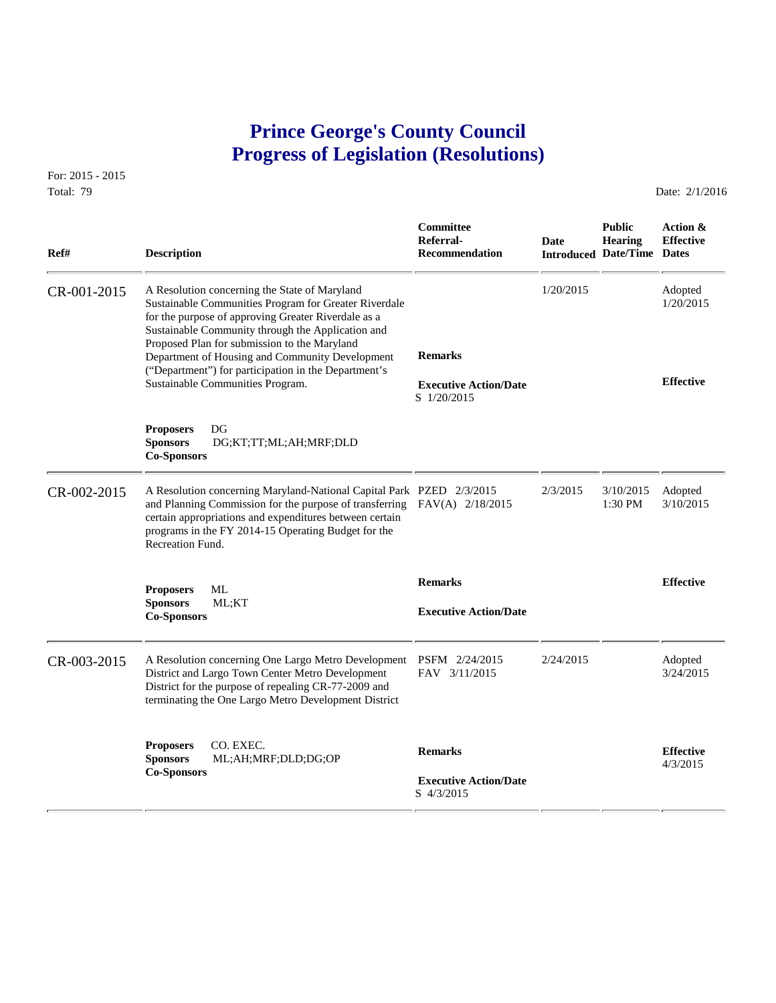# **Prince George's County Council Progress of Legislation (Resolutions)**

For: 2015 - 2015 Total: 79 Date: 2/1/2016

| Ref#        | <b>Description</b>                                                                                                                                                                                                                                                                                                                                                                                                | Committee<br>Referral-<br>Recommendation                      | Date      | <b>Public</b><br><b>Hearing</b><br><b>Introduced Date/Time Dates</b> | Action &<br><b>Effective</b>             |
|-------------|-------------------------------------------------------------------------------------------------------------------------------------------------------------------------------------------------------------------------------------------------------------------------------------------------------------------------------------------------------------------------------------------------------------------|---------------------------------------------------------------|-----------|----------------------------------------------------------------------|------------------------------------------|
| CR-001-2015 | A Resolution concerning the State of Maryland<br>Sustainable Communities Program for Greater Riverdale<br>for the purpose of approving Greater Riverdale as a<br>Sustainable Community through the Application and<br>Proposed Plan for submission to the Maryland<br>Department of Housing and Community Development<br>("Department") for participation in the Department's<br>Sustainable Communities Program. | <b>Remarks</b><br><b>Executive Action/Date</b><br>S 1/20/2015 | 1/20/2015 |                                                                      | Adopted<br>1/20/2015<br><b>Effective</b> |
|             | DG<br><b>Proposers</b><br><b>Sponsors</b><br>DG;KT;TT;ML;AH;MRF;DLD<br><b>Co-Sponsors</b>                                                                                                                                                                                                                                                                                                                         |                                                               |           |                                                                      |                                          |
| CR-002-2015 | A Resolution concerning Maryland-National Capital Park PZED 2/3/2015<br>and Planning Commission for the purpose of transferring FAV(A) 2/18/2015<br>certain appropriations and expenditures between certain<br>programs in the FY 2014-15 Operating Budget for the<br>Recreation Fund.                                                                                                                            |                                                               | 2/3/2015  | 3/10/2015<br>$1:30$ PM                                               | Adopted<br>3/10/2015                     |
|             | ML<br><b>Proposers</b><br><b>Sponsors</b><br>ML;KT<br><b>Co-Sponsors</b>                                                                                                                                                                                                                                                                                                                                          | <b>Remarks</b><br><b>Executive Action/Date</b>                |           |                                                                      | <b>Effective</b>                         |
| CR-003-2015 | A Resolution concerning One Largo Metro Development<br>District and Largo Town Center Metro Development<br>District for the purpose of repealing CR-77-2009 and<br>terminating the One Largo Metro Development District                                                                                                                                                                                           | PSFM 2/24/2015<br>FAV 3/11/2015                               | 2/24/2015 |                                                                      | Adopted<br>3/24/2015                     |
|             | CO. EXEC.<br><b>Proposers</b><br><b>Sponsors</b><br>ML;AH;MRF;DLD;DG;OP<br><b>Co-Sponsors</b>                                                                                                                                                                                                                                                                                                                     | <b>Remarks</b><br><b>Executive Action/Date</b><br>S 4/3/2015  |           |                                                                      | <b>Effective</b><br>4/3/2015             |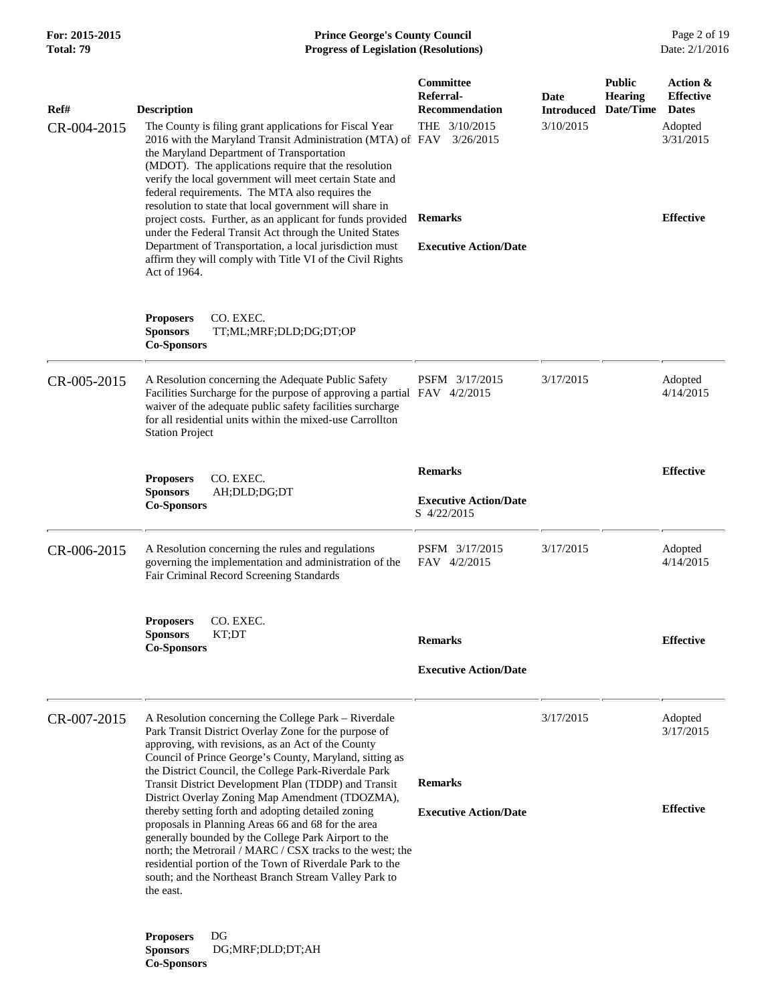**Co-Sponsors** 

## **For: 2015-2015 Prince George's County Council** Page 2 of 19<br>**Prince George's County Council** Page 2 of 19<br>**Progress of Legislation (Resolutions)** Date: 2/1/2016 **Progress of Legislation (Resolutions)**

| Ref#        | <b>Description</b>                                                                                                                                                                                                                                                                                                                                                                                                                                                                                                                                                                                                                                                                                                                                                    |                                                                                                                                                                                                                                                                                                                                                                                                                                                                                                                                                                                                                                                      | Committee<br>Referral-<br>Recommendation                                     | Date<br><b>Introduced</b> | <b>Public</b><br><b>Hearing</b><br>Date/Time | Action &<br><b>Effective</b><br><b>Dates</b> |
|-------------|-----------------------------------------------------------------------------------------------------------------------------------------------------------------------------------------------------------------------------------------------------------------------------------------------------------------------------------------------------------------------------------------------------------------------------------------------------------------------------------------------------------------------------------------------------------------------------------------------------------------------------------------------------------------------------------------------------------------------------------------------------------------------|------------------------------------------------------------------------------------------------------------------------------------------------------------------------------------------------------------------------------------------------------------------------------------------------------------------------------------------------------------------------------------------------------------------------------------------------------------------------------------------------------------------------------------------------------------------------------------------------------------------------------------------------------|------------------------------------------------------------------------------|---------------------------|----------------------------------------------|----------------------------------------------|
| CR-004-2015 | Act of 1964.                                                                                                                                                                                                                                                                                                                                                                                                                                                                                                                                                                                                                                                                                                                                                          | The County is filing grant applications for Fiscal Year<br>2016 with the Maryland Transit Administration (MTA) of FAV<br>the Maryland Department of Transportation<br>(MDOT). The applications require that the resolution<br>verify the local government will meet certain State and<br>federal requirements. The MTA also requires the<br>resolution to state that local government will share in<br>project costs. Further, as an applicant for funds provided<br>under the Federal Transit Act through the United States<br>Department of Transportation, a local jurisdiction must<br>affirm they will comply with Title VI of the Civil Rights | THE 3/10/2015<br>3/26/2015<br><b>Remarks</b><br><b>Executive Action/Date</b> | 3/10/2015                 |                                              | Adopted<br>3/31/2015<br><b>Effective</b>     |
|             | <b>Proposers</b><br><b>Sponsors</b><br><b>Co-Sponsors</b>                                                                                                                                                                                                                                                                                                                                                                                                                                                                                                                                                                                                                                                                                                             | CO. EXEC.<br>TT;ML;MRF;DLD;DG;DT;OP                                                                                                                                                                                                                                                                                                                                                                                                                                                                                                                                                                                                                  |                                                                              |                           |                                              |                                              |
| CR-005-2015 | <b>Station Project</b>                                                                                                                                                                                                                                                                                                                                                                                                                                                                                                                                                                                                                                                                                                                                                | A Resolution concerning the Adequate Public Safety<br>Facilities Surcharge for the purpose of approving a partial FAV 4/2/2015<br>waiver of the adequate public safety facilities surcharge<br>for all residential units within the mixed-use Carrollton                                                                                                                                                                                                                                                                                                                                                                                             | PSFM 3/17/2015                                                               | 3/17/2015                 |                                              | Adopted<br>4/14/2015                         |
|             |                                                                                                                                                                                                                                                                                                                                                                                                                                                                                                                                                                                                                                                                                                                                                                       | CO. EXEC.                                                                                                                                                                                                                                                                                                                                                                                                                                                                                                                                                                                                                                            | <b>Remarks</b>                                                               |                           |                                              | <b>Effective</b>                             |
|             | <b>Proposers</b><br><b>Sponsors</b><br><b>Co-Sponsors</b>                                                                                                                                                                                                                                                                                                                                                                                                                                                                                                                                                                                                                                                                                                             | AH;DLD;DG;DT                                                                                                                                                                                                                                                                                                                                                                                                                                                                                                                                                                                                                                         | <b>Executive Action/Date</b><br>S 4/22/2015                                  |                           |                                              |                                              |
| CR-006-2015 |                                                                                                                                                                                                                                                                                                                                                                                                                                                                                                                                                                                                                                                                                                                                                                       | A Resolution concerning the rules and regulations<br>governing the implementation and administration of the<br>Fair Criminal Record Screening Standards                                                                                                                                                                                                                                                                                                                                                                                                                                                                                              | PSFM 3/17/2015<br>FAV 4/2/2015                                               | 3/17/2015                 |                                              | Adopted<br>4/14/2015                         |
|             | <b>Proposers</b><br><b>Sponsors</b><br><b>Co-Sponsors</b>                                                                                                                                                                                                                                                                                                                                                                                                                                                                                                                                                                                                                                                                                                             | CO. EXEC.<br>KT;DT                                                                                                                                                                                                                                                                                                                                                                                                                                                                                                                                                                                                                                   | <b>Remarks</b><br><b>Executive Action/Date</b>                               |                           |                                              | <b>Effective</b>                             |
| CR-007-2015 | A Resolution concerning the College Park – Riverdale<br>Park Transit District Overlay Zone for the purpose of<br>approving, with revisions, as an Act of the County<br>Council of Prince George's County, Maryland, sitting as<br>the District Council, the College Park-Riverdale Park<br>Transit District Development Plan (TDDP) and Transit<br>District Overlay Zoning Map Amendment (TDOZMA),<br>thereby setting forth and adopting detailed zoning<br>proposals in Planning Areas 66 and 68 for the area<br>generally bounded by the College Park Airport to the<br>north; the Metrorail / MARC / CSX tracks to the west; the<br>residential portion of the Town of Riverdale Park to the<br>south; and the Northeast Branch Stream Valley Park to<br>the east. | <b>Remarks</b>                                                                                                                                                                                                                                                                                                                                                                                                                                                                                                                                                                                                                                       | 3/17/2015                                                                    |                           | Adopted<br>3/17/2015                         |                                              |
|             |                                                                                                                                                                                                                                                                                                                                                                                                                                                                                                                                                                                                                                                                                                                                                                       | <b>Executive Action/Date</b>                                                                                                                                                                                                                                                                                                                                                                                                                                                                                                                                                                                                                         |                                                                              |                           | <b>Effective</b>                             |                                              |
|             | <b>Proposers</b><br><b>Sponsors</b>                                                                                                                                                                                                                                                                                                                                                                                                                                                                                                                                                                                                                                                                                                                                   | DG<br>DG;MRF;DLD;DT;AH                                                                                                                                                                                                                                                                                                                                                                                                                                                                                                                                                                                                                               |                                                                              |                           |                                              |                                              |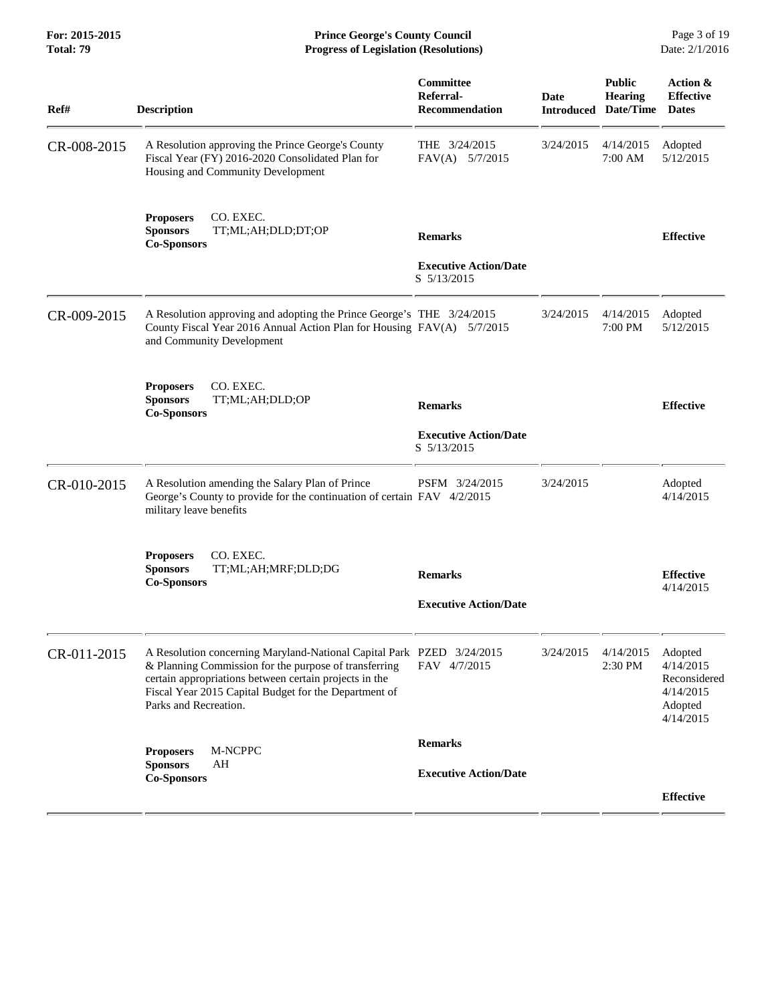| Ref#        | <b>Description</b>                                                                                                                                                                                                                                                         | Committee<br>Referral-<br><b>Recommendation</b>               | <b>Date</b><br><b>Introduced</b> | <b>Public</b><br><b>Hearing</b><br>Date/Time | Action &<br><b>Effective</b><br><b>Dates</b>                              |
|-------------|----------------------------------------------------------------------------------------------------------------------------------------------------------------------------------------------------------------------------------------------------------------------------|---------------------------------------------------------------|----------------------------------|----------------------------------------------|---------------------------------------------------------------------------|
| CR-008-2015 | A Resolution approving the Prince George's County<br>Fiscal Year (FY) 2016-2020 Consolidated Plan for<br>Housing and Community Development                                                                                                                                 | THE $3/24/2015$<br>$FAV(A)$ 5/7/2015                          | 3/24/2015                        | 4/14/2015<br>7:00 AM                         | Adopted<br>5/12/2015                                                      |
|             | CO. EXEC.<br><b>Proposers</b><br><b>Sponsors</b><br>TT;ML;AH;DLD;DT;OP<br><b>Co-Sponsors</b>                                                                                                                                                                               | <b>Remarks</b><br><b>Executive Action/Date</b><br>S 5/13/2015 |                                  |                                              | <b>Effective</b>                                                          |
| CR-009-2015 | A Resolution approving and adopting the Prince George's THE 3/24/2015<br>County Fiscal Year 2016 Annual Action Plan for Housing FAV(A) 5/7/2015<br>and Community Development                                                                                               |                                                               | 3/24/2015                        | 4/14/2015<br>$7:00 \text{ PM}$               | Adopted<br>5/12/2015                                                      |
|             | CO. EXEC.<br><b>Proposers</b><br><b>Sponsors</b><br>TT;ML;AH;DLD;OP<br><b>Co-Sponsors</b>                                                                                                                                                                                  | <b>Remarks</b><br><b>Executive Action/Date</b><br>S 5/13/2015 |                                  |                                              | <b>Effective</b>                                                          |
| CR-010-2015 | A Resolution amending the Salary Plan of Prince<br>George's County to provide for the continuation of certain FAV 4/2/2015<br>military leave benefits                                                                                                                      | PSFM 3/24/2015                                                | 3/24/2015                        |                                              | Adopted<br>4/14/2015                                                      |
|             | CO. EXEC.<br><b>Proposers</b><br><b>Sponsors</b><br>TT;ML;AH;MRF;DLD;DG<br><b>Co-Sponsors</b>                                                                                                                                                                              | <b>Remarks</b><br><b>Executive Action/Date</b>                |                                  |                                              | <b>Effective</b><br>4/14/2015                                             |
| CR-011-2015 | A Resolution concerning Maryland-National Capital Park PZED 3/24/2015<br>& Planning Commission for the purpose of transferring<br>certain appropriations between certain projects in the<br>Fiscal Year 2015 Capital Budget for the Department of<br>Parks and Recreation. | FAV 4/7/2015                                                  | 3/24/2015                        | 4/14/2015<br>2:30 PM                         | Adopted<br>4/14/2015<br>Reconsidered<br>4/14/2015<br>Adopted<br>4/14/2015 |
|             | M-NCPPC<br><b>Proposers</b>                                                                                                                                                                                                                                                | <b>Remarks</b>                                                |                                  |                                              |                                                                           |
|             | <b>Sponsors</b><br>AH<br><b>Co-Sponsors</b>                                                                                                                                                                                                                                | <b>Executive Action/Date</b>                                  |                                  |                                              |                                                                           |
|             |                                                                                                                                                                                                                                                                            |                                                               |                                  |                                              | <b>Effective</b>                                                          |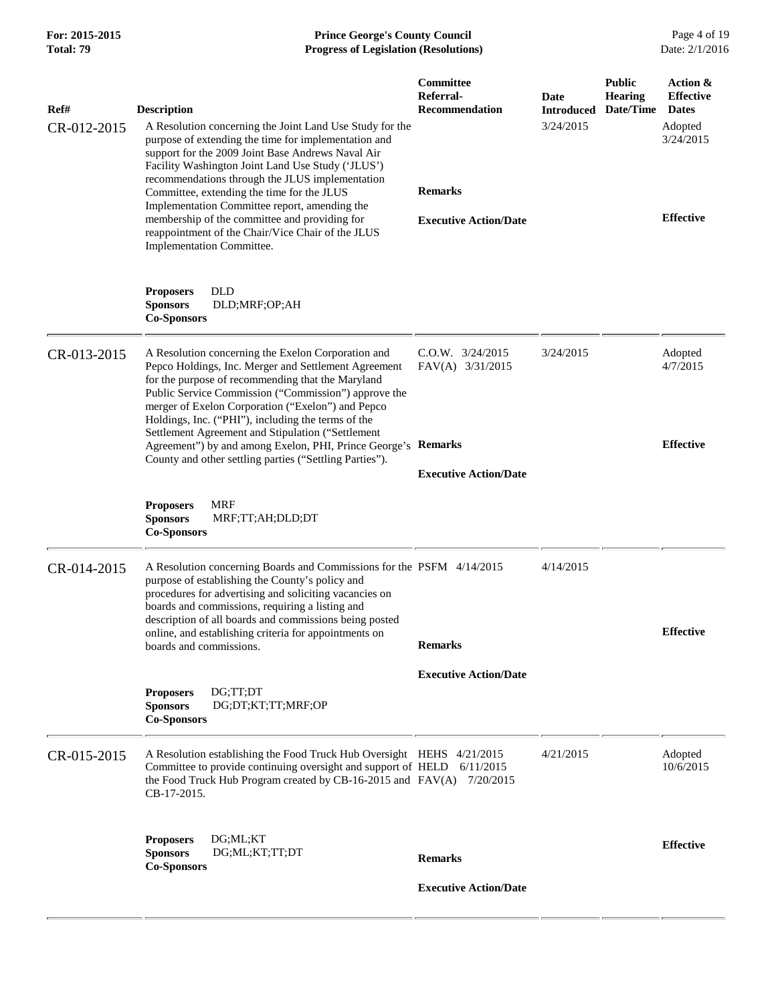| For: 2015-2015<br>Total: 79 | <b>Prince George's County Council</b><br>Date: 2/1/2016<br><b>Progress of Legislation (Resolutions)</b>                                                                                                                                                                                                                                                                                 |                                                 |                                        |                                              |                                                                      |
|-----------------------------|-----------------------------------------------------------------------------------------------------------------------------------------------------------------------------------------------------------------------------------------------------------------------------------------------------------------------------------------------------------------------------------------|-------------------------------------------------|----------------------------------------|----------------------------------------------|----------------------------------------------------------------------|
| Ref#<br>CR-012-2015         | <b>Description</b><br>A Resolution concerning the Joint Land Use Study for the<br>purpose of extending the time for implementation and<br>support for the 2009 Joint Base Andrews Naval Air<br>Facility Washington Joint Land Use Study ('JLUS')<br>recommendations through the JLUS implementation                                                                                     | Committee<br>Referral-<br><b>Recommendation</b> | Date<br><b>Introduced</b><br>3/24/2015 | <b>Public</b><br><b>Hearing</b><br>Date/Time | Action &<br><b>Effective</b><br><b>Dates</b><br>Adopted<br>3/24/2015 |
|                             | Committee, extending the time for the JLUS<br>Implementation Committee report, amending the<br>membership of the committee and providing for<br>reappointment of the Chair/Vice Chair of the JLUS<br>Implementation Committee.                                                                                                                                                          | <b>Remarks</b><br><b>Executive Action/Date</b>  |                                        |                                              | <b>Effective</b>                                                     |
|                             | <b>DLD</b><br><b>Proposers</b><br><b>Sponsors</b><br>DLD;MRF;OP;AH<br><b>Co-Sponsors</b>                                                                                                                                                                                                                                                                                                |                                                 |                                        |                                              |                                                                      |
| CR-013-2015                 | A Resolution concerning the Exelon Corporation and<br>Pepco Holdings, Inc. Merger and Settlement Agreement<br>for the purpose of recommending that the Maryland<br>Public Service Commission ("Commission") approve the<br>merger of Exelon Corporation ("Exelon") and Pepco<br>Holdings, Inc. ("PHI"), including the terms of the<br>Settlement Agreement and Stipulation ("Settlement | $C.0.W.$ $3/24/2015$<br>FAV(A) 3/31/2015        | 3/24/2015                              |                                              | Adopted<br>4/7/2015                                                  |
|                             | Agreement") by and among Exelon, PHI, Prince George's<br>County and other settling parties ("Settling Parties").                                                                                                                                                                                                                                                                        | Remarks<br><b>Executive Action/Date</b>         |                                        |                                              | <b>Effective</b>                                                     |
|                             | <b>MRF</b><br><b>Proposers</b><br><b>Sponsors</b><br>MRF;TT;AH;DLD;DT<br><b>Co-Sponsors</b>                                                                                                                                                                                                                                                                                             |                                                 |                                        |                                              |                                                                      |
| CR-014-2015                 | A Resolution concerning Boards and Commissions for the PSFM 4/14/2015<br>purpose of establishing the County's policy and<br>procedures for advertising and soliciting vacancies on<br>boards and commissions, requiring a listing and<br>description of all boards and commissions being posted<br>online, and establishing criteria for appointments on<br>boards and commissions.     | <b>Remarks</b>                                  | 4/14/2015                              |                                              | <b>Effective</b>                                                     |
|                             |                                                                                                                                                                                                                                                                                                                                                                                         |                                                 |                                        |                                              |                                                                      |
|                             | <b>Proposers</b><br>DG;TT;DT<br><b>Sponsors</b><br>DG;DT;KT;TT;MRF;OP<br><b>Co-Sponsors</b>                                                                                                                                                                                                                                                                                             | <b>Executive Action/Date</b>                    |                                        |                                              |                                                                      |
| CR-015-2015                 | A Resolution establishing the Food Truck Hub Oversight HEHS 4/21/2015<br>Committee to provide continuing oversight and support of HELD 6/11/2015<br>the Food Truck Hub Program created by CB-16-2015 and FAV(A) 7/20/2015<br>CB-17-2015.                                                                                                                                                |                                                 | 4/21/2015                              |                                              | Adopted<br>10/6/2015                                                 |
|                             | DG;ML;KT<br><b>Proposers</b><br><b>Sponsors</b><br>DG;ML;KT;TT;DT<br><b>Co-Sponsors</b>                                                                                                                                                                                                                                                                                                 | <b>Remarks</b>                                  |                                        |                                              | <b>Effective</b>                                                     |
|                             |                                                                                                                                                                                                                                                                                                                                                                                         | <b>Executive Action/Date</b>                    |                                        |                                              |                                                                      |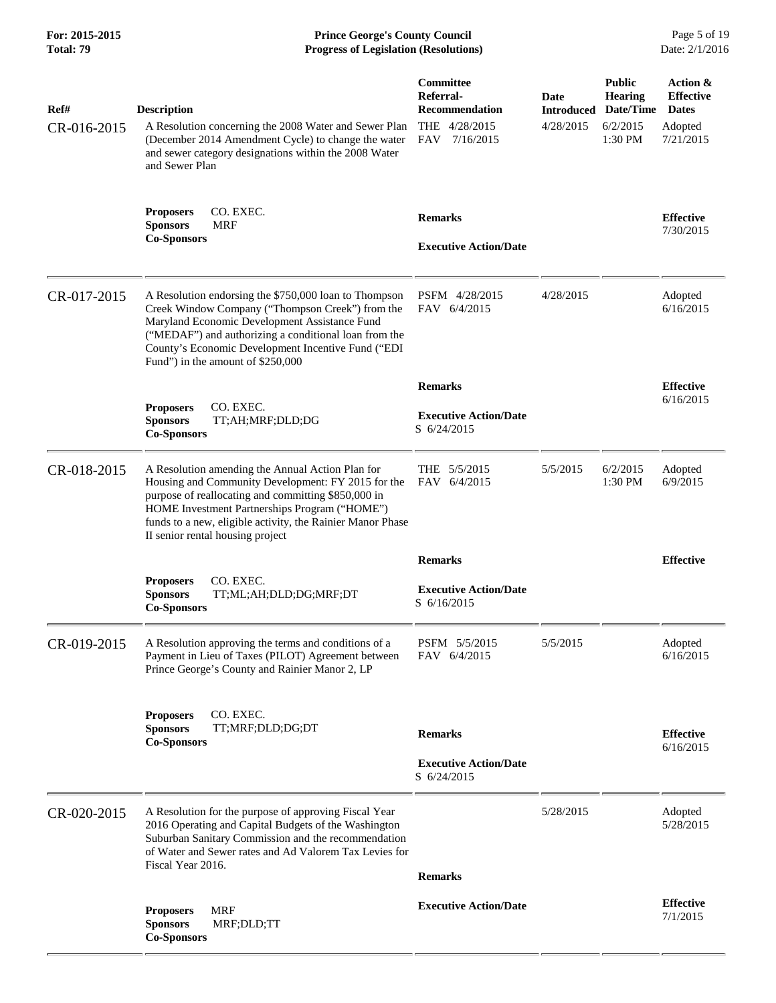**For: 2015-2015 Prince George's County Council** Page 5 of 19<br> **Prince George's County Council** Page 5 of 19<br> **Progress of Legislation (Resolutions)** Date: 2/1/2016 **Total: 79 Progress of Legislation (Resolutions)** 

| Ref#        | <b>Description</b>                                                                                                                                                                                                                                                                                               | Committee<br>Referral-<br><b>Recommendation</b> | Date<br><b>Introduced</b> | <b>Public</b><br><b>Hearing</b><br>Date/Time | Action &<br><b>Effective</b><br><b>Dates</b> |
|-------------|------------------------------------------------------------------------------------------------------------------------------------------------------------------------------------------------------------------------------------------------------------------------------------------------------------------|-------------------------------------------------|---------------------------|----------------------------------------------|----------------------------------------------|
| CR-016-2015 | A Resolution concerning the 2008 Water and Sewer Plan<br>(December 2014 Amendment Cycle) to change the water<br>and sewer category designations within the 2008 Water<br>and Sewer Plan                                                                                                                          | THE 4/28/2015<br>FAV<br>7/16/2015               | 4/28/2015                 | 6/2/2015<br>1:30 PM                          | Adopted<br>7/21/2015                         |
|             | CO. EXEC.<br><b>Proposers</b><br><b>Sponsors</b><br><b>MRF</b>                                                                                                                                                                                                                                                   | <b>Remarks</b>                                  |                           |                                              | <b>Effective</b><br>7/30/2015                |
|             | <b>Co-Sponsors</b>                                                                                                                                                                                                                                                                                               | <b>Executive Action/Date</b>                    |                           |                                              |                                              |
| CR-017-2015 | A Resolution endorsing the \$750,000 loan to Thompson<br>Creek Window Company ("Thompson Creek") from the<br>Maryland Economic Development Assistance Fund<br>("MEDAF") and authorizing a conditional loan from the<br>County's Economic Development Incentive Fund ("EDI<br>Fund") in the amount of \$250,000   | PSFM 4/28/2015<br>FAV 6/4/2015                  | 4/28/2015                 |                                              | Adopted<br>6/16/2015                         |
|             |                                                                                                                                                                                                                                                                                                                  | <b>Remarks</b>                                  |                           |                                              | <b>Effective</b>                             |
|             | CO. EXEC.<br><b>Proposers</b><br><b>Sponsors</b><br>TT;AH;MRF;DLD;DG<br><b>Co-Sponsors</b>                                                                                                                                                                                                                       | <b>Executive Action/Date</b><br>S 6/24/2015     |                           |                                              | 6/16/2015                                    |
| CR-018-2015 | A Resolution amending the Annual Action Plan for<br>Housing and Community Development: FY 2015 for the<br>purpose of reallocating and committing \$850,000 in<br>HOME Investment Partnerships Program ("HOME")<br>funds to a new, eligible activity, the Rainier Manor Phase<br>II senior rental housing project | THE 5/5/2015<br>FAV 6/4/2015                    | 5/5/2015                  | 6/2/2015<br>1:30 PM                          | Adopted<br>6/9/2015                          |
|             |                                                                                                                                                                                                                                                                                                                  | <b>Remarks</b>                                  |                           |                                              | <b>Effective</b>                             |
|             | CO. EXEC.<br><b>Proposers</b><br><b>Sponsors</b><br>TT;ML;AH;DLD;DG;MRF;DT<br><b>Co-Sponsors</b>                                                                                                                                                                                                                 | <b>Executive Action/Date</b><br>S 6/16/2015     |                           |                                              |                                              |
| CR-019-2015 | A Resolution approving the terms and conditions of a<br>Payment in Lieu of Taxes (PILOT) Agreement between<br>Prince George's County and Rainier Manor 2, LP                                                                                                                                                     | PSFM 5/5/2015<br>FAV 6/4/2015                   | 5/5/2015                  |                                              | Adopted<br>6/16/2015                         |
|             | CO. EXEC.<br><b>Proposers</b><br><b>Sponsors</b><br>TT;MRF;DLD;DG;DT<br><b>Co-Sponsors</b>                                                                                                                                                                                                                       | <b>Remarks</b>                                  |                           |                                              | <b>Effective</b><br>6/16/2015                |
|             |                                                                                                                                                                                                                                                                                                                  | <b>Executive Action/Date</b><br>S 6/24/2015     |                           |                                              |                                              |
| CR-020-2015 | A Resolution for the purpose of approving Fiscal Year<br>2016 Operating and Capital Budgets of the Washington<br>Suburban Sanitary Commission and the recommendation<br>of Water and Sewer rates and Ad Valorem Tax Levies for<br>Fiscal Year 2016.                                                              | <b>Remarks</b>                                  | 5/28/2015                 |                                              | Adopted<br>5/28/2015                         |
|             | <b>MRF</b><br><b>Proposers</b><br><b>Sponsors</b><br>MRF;DLD;TT<br><b>Co-Sponsors</b>                                                                                                                                                                                                                            | <b>Executive Action/Date</b>                    |                           |                                              | <b>Effective</b><br>7/1/2015                 |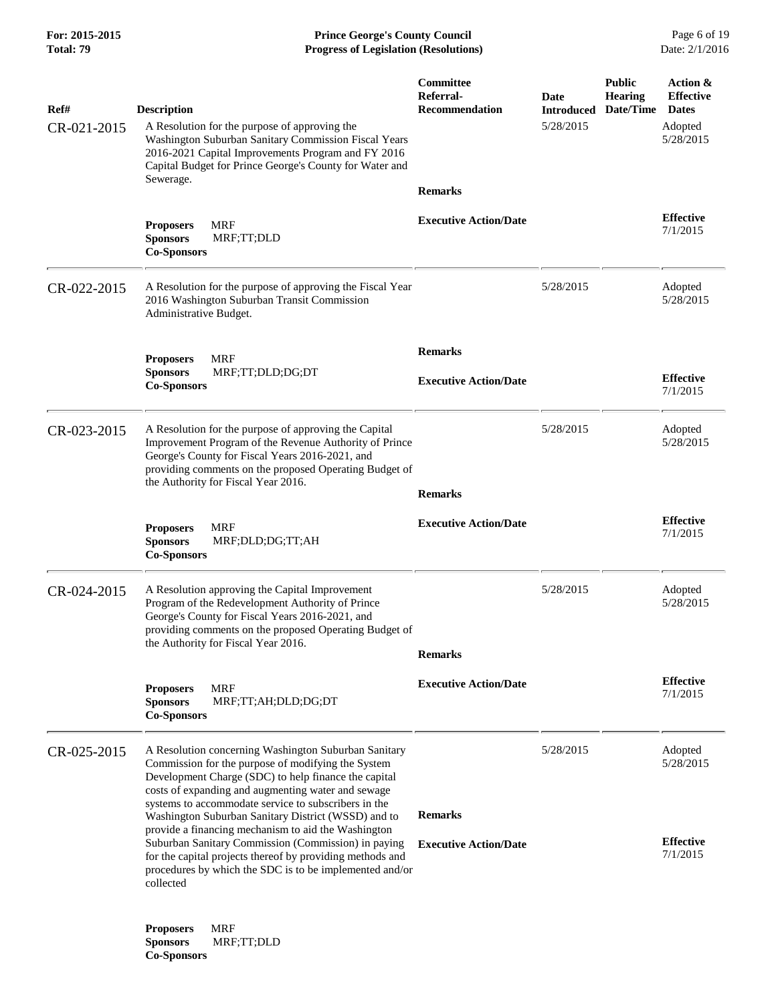**For: 2015-2015 Prince George's County Council** Page 6 of 19<br> **Prince George's County Council** Page 6 of 19<br> **Progress of Legislation (Resolutions)** Date: 2/1/2016 **Total: 79 Progress of Legislation (Resolutions)** 

| Ref#<br>CR-021-2015 | <b>Description</b><br>A Resolution for the purpose of approving the<br>Washington Suburban Sanitary Commission Fiscal Years<br>2016-2021 Capital Improvements Program and FY 2016<br>Capital Budget for Prince George's County for Water and                                     | Committee<br>Referral-<br><b>Recommendation</b> | Date<br><b>Introduced</b><br>5/28/2015 | <b>Public</b><br><b>Hearing</b><br>Date/Time | Action &<br><b>Effective</b><br><b>Dates</b><br>Adopted<br>5/28/2015 |
|---------------------|----------------------------------------------------------------------------------------------------------------------------------------------------------------------------------------------------------------------------------------------------------------------------------|-------------------------------------------------|----------------------------------------|----------------------------------------------|----------------------------------------------------------------------|
|                     | Sewerage.                                                                                                                                                                                                                                                                        | <b>Remarks</b>                                  |                                        |                                              |                                                                      |
|                     | <b>MRF</b><br><b>Proposers</b><br>MRF;TT;DLD<br><b>Sponsors</b><br><b>Co-Sponsors</b>                                                                                                                                                                                            | <b>Executive Action/Date</b>                    |                                        |                                              | <b>Effective</b><br>7/1/2015                                         |
| CR-022-2015         | A Resolution for the purpose of approving the Fiscal Year<br>2016 Washington Suburban Transit Commission<br>Administrative Budget.                                                                                                                                               |                                                 | 5/28/2015                              |                                              | Adopted<br>5/28/2015                                                 |
|                     | <b>MRF</b><br><b>Proposers</b>                                                                                                                                                                                                                                                   | <b>Remarks</b>                                  |                                        |                                              |                                                                      |
|                     | <b>Sponsors</b><br>MRF;TT;DLD;DG;DT<br><b>Co-Sponsors</b>                                                                                                                                                                                                                        | <b>Executive Action/Date</b>                    |                                        |                                              | <b>Effective</b><br>7/1/2015                                         |
| CR-023-2015         | A Resolution for the purpose of approving the Capital<br>Improvement Program of the Revenue Authority of Prince<br>George's County for Fiscal Years 2016-2021, and<br>providing comments on the proposed Operating Budget of<br>the Authority for Fiscal Year 2016.              |                                                 | 5/28/2015                              |                                              | Adopted<br>5/28/2015                                                 |
|                     |                                                                                                                                                                                                                                                                                  | <b>Remarks</b>                                  |                                        |                                              |                                                                      |
|                     | <b>MRF</b><br><b>Proposers</b><br><b>Sponsors</b><br>MRF;DLD;DG;TT;AH<br><b>Co-Sponsors</b>                                                                                                                                                                                      | <b>Executive Action/Date</b>                    |                                        |                                              | <b>Effective</b><br>7/1/2015                                         |
| CR-024-2015         | A Resolution approving the Capital Improvement<br>Program of the Redevelopment Authority of Prince<br>George's County for Fiscal Years 2016-2021, and<br>providing comments on the proposed Operating Budget of<br>the Authority for Fiscal Year 2016.                           |                                                 | 5/28/2015                              |                                              | Adopted<br>5/28/2015                                                 |
|                     |                                                                                                                                                                                                                                                                                  | <b>Remarks</b>                                  |                                        |                                              |                                                                      |
|                     | <b>Proposers</b><br>MRF<br><b>Sponsors</b><br>MRF;TT;AH;DLD;DG;DT<br><b>Co-Sponsors</b>                                                                                                                                                                                          | <b>Executive Action/Date</b>                    |                                        |                                              | <b>Effective</b><br>7/1/2015                                         |
| CR-025-2015         | A Resolution concerning Washington Suburban Sanitary<br>Commission for the purpose of modifying the System<br>Development Charge (SDC) to help finance the capital<br>costs of expanding and augmenting water and sewage<br>systems to accommodate service to subscribers in the |                                                 | 5/28/2015                              |                                              | Adopted<br>5/28/2015                                                 |
|                     | Washington Suburban Sanitary District (WSSD) and to<br>provide a financing mechanism to aid the Washington                                                                                                                                                                       | <b>Remarks</b>                                  |                                        |                                              |                                                                      |
|                     | Suburban Sanitary Commission (Commission) in paying<br>for the capital projects thereof by providing methods and<br>procedures by which the SDC is to be implemented and/or<br>collected                                                                                         | <b>Executive Action/Date</b>                    |                                        |                                              | <b>Effective</b><br>7/1/2015                                         |
|                     |                                                                                                                                                                                                                                                                                  |                                                 |                                        |                                              |                                                                      |

**Proposers** MRF **Sponsors** MRF;TT;DLD **Co-Sponsors**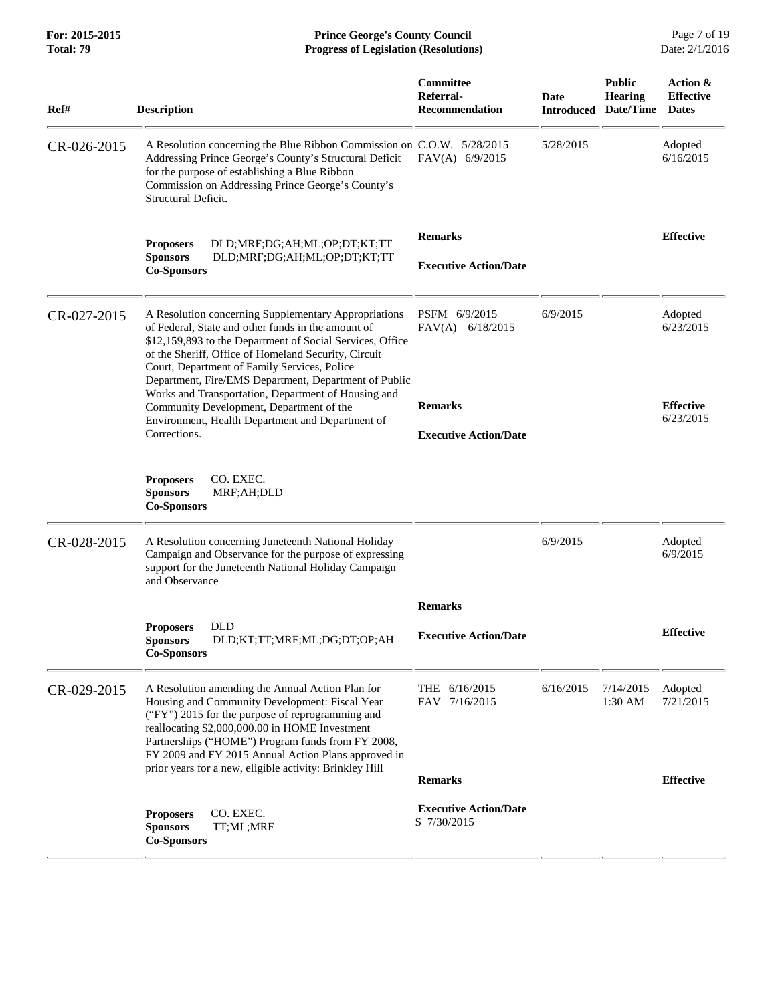**For: 2015-2015 Prince George's County Council** Page 7 of 19<br> **Prince George's County Council** Page 7 of 19<br> **Progress of Legislation (Resolutions)** Date: 2/1/2016 **Total: 79 Progress of Legislation (Resolutions)** 

| Ref#        | <b>Description</b>                                                                                                                                                                                                                                                                                                                                                                              | Committee<br>Referral-<br><b>Recommendation</b> | <b>Date</b><br><b>Introduced</b> | <b>Public</b><br><b>Hearing</b><br>Date/Time | Action &<br><b>Effective</b><br><b>Dates</b> |
|-------------|-------------------------------------------------------------------------------------------------------------------------------------------------------------------------------------------------------------------------------------------------------------------------------------------------------------------------------------------------------------------------------------------------|-------------------------------------------------|----------------------------------|----------------------------------------------|----------------------------------------------|
| CR-026-2015 | A Resolution concerning the Blue Ribbon Commission on C.O.W. 5/28/2015<br>Addressing Prince George's County's Structural Deficit<br>for the purpose of establishing a Blue Ribbon<br>Commission on Addressing Prince George's County's<br>Structural Deficit.                                                                                                                                   | $FAV(A)$ 6/9/2015                               | 5/28/2015                        |                                              | Adopted<br>6/16/2015                         |
|             | DLD;MRF;DG;AH;ML;OP;DT;KT;TT<br><b>Proposers</b><br><b>Sponsors</b><br>DLD;MRF;DG;AH;ML;OP;DT;KT;TT<br><b>Co-Sponsors</b>                                                                                                                                                                                                                                                                       | <b>Remarks</b><br><b>Executive Action/Date</b>  |                                  |                                              | <b>Effective</b>                             |
| CR-027-2015 | A Resolution concerning Supplementary Appropriations<br>of Federal. State and other funds in the amount of<br>\$12,159,893 to the Department of Social Services, Office<br>of the Sheriff, Office of Homeland Security, Circuit<br>Court, Department of Family Services, Police<br>Department, Fire/EMS Department, Department of Public<br>Works and Transportation, Department of Housing and | PSFM 6/9/2015<br>FAV(A) 6/18/2015               | 6/9/2015                         |                                              | Adopted<br>6/23/2015                         |
|             | Community Development, Department of the<br>Environment, Health Department and Department of<br>Corrections.                                                                                                                                                                                                                                                                                    | <b>Remarks</b><br><b>Executive Action/Date</b>  |                                  |                                              | <b>Effective</b><br>6/23/2015                |
|             | <b>Proposers</b><br>CO. EXEC.<br><b>Sponsors</b><br>MRF;AH;DLD<br><b>Co-Sponsors</b>                                                                                                                                                                                                                                                                                                            |                                                 |                                  |                                              |                                              |
| CR-028-2015 | A Resolution concerning Juneteenth National Holiday<br>Campaign and Observance for the purpose of expressing<br>support for the Juneteenth National Holiday Campaign<br>and Observance                                                                                                                                                                                                          |                                                 | 6/9/2015                         |                                              | Adopted<br>6/9/2015                          |
|             |                                                                                                                                                                                                                                                                                                                                                                                                 | <b>Remarks</b>                                  |                                  |                                              |                                              |
|             | DLD<br><b>Proposers</b><br>DLD;KT;TT;MRF;ML;DG;DT;OP;AH<br><b>Sponsors</b><br><b>Co-Sponsors</b>                                                                                                                                                                                                                                                                                                | <b>Executive Action/Date</b>                    |                                  |                                              | <b>Effective</b>                             |
| CR-029-2015 | A Resolution amending the Annual Action Plan for<br>Housing and Community Development: Fiscal Year<br>("FY") 2015 for the purpose of reprogramming and<br>reallocating \$2,000,000.00 in HOME Investment<br>Partnerships ("HOME") Program funds from FY 2008,<br>FY 2009 and FY 2015 Annual Action Plans approved in<br>prior years for a new, eligible activity: Brinkley Hill                 | THE 6/16/2015<br>FAV 7/16/2015                  | 6/16/2015                        | 7/14/2015<br>$1:30$ AM                       | Adopted<br>7/21/2015                         |
|             |                                                                                                                                                                                                                                                                                                                                                                                                 | <b>Remarks</b>                                  |                                  |                                              | <b>Effective</b>                             |
|             | CO. EXEC.<br><b>Proposers</b><br><b>Sponsors</b><br>TT;ML;MRF<br><b>Co-Sponsors</b>                                                                                                                                                                                                                                                                                                             | <b>Executive Action/Date</b><br>S 7/30/2015     |                                  |                                              |                                              |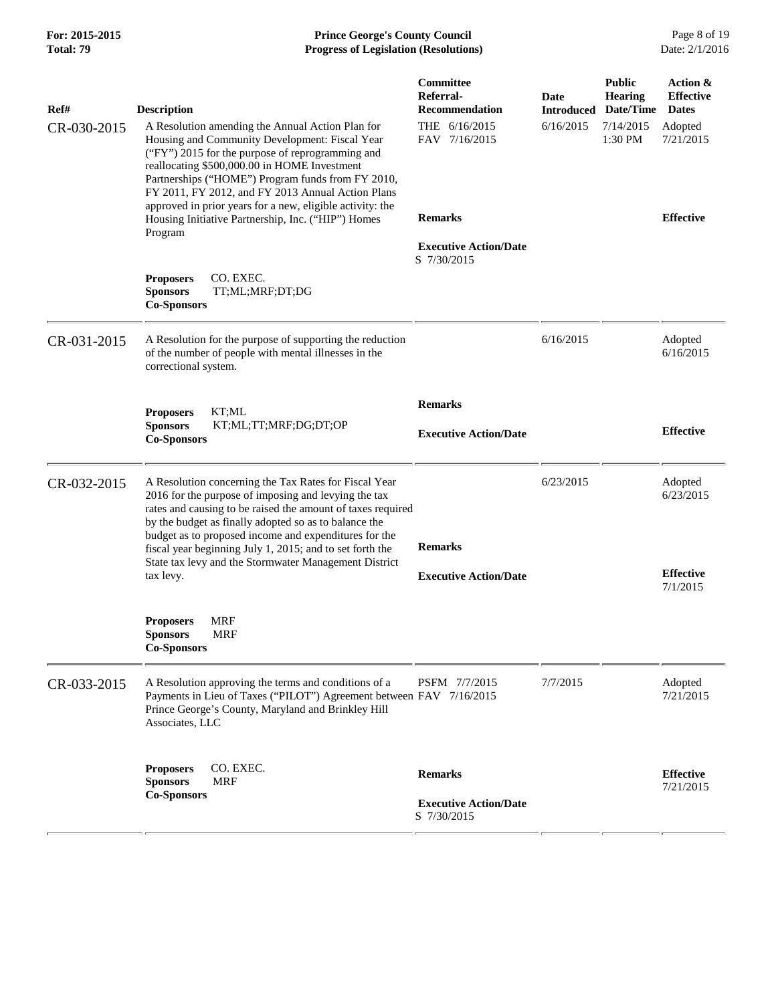# **For: 2015-2015 Prince George's County Council** Page 8 of 19<br> **Prince George's County Council** Page 8 of 19<br> **Progress of Legislation (Resolutions)** Date: 2/1/2016 **Total: 79 Progress of Legislation (Resolutions)**

| Ref#        | <b>Description</b>                                                                                                                                                                                                                                                                                                                                         | Committee<br>Referral-<br><b>Recommendation</b>               | Date<br><b>Introduced</b> | <b>Public</b><br><b>Hearing</b><br>Date/Time | Action &<br><b>Effective</b><br><b>Dates</b> |
|-------------|------------------------------------------------------------------------------------------------------------------------------------------------------------------------------------------------------------------------------------------------------------------------------------------------------------------------------------------------------------|---------------------------------------------------------------|---------------------------|----------------------------------------------|----------------------------------------------|
| CR-030-2015 | A Resolution amending the Annual Action Plan for<br>Housing and Community Development: Fiscal Year<br>("FY") 2015 for the purpose of reprogramming and<br>reallocating \$500,000.00 in HOME Investment<br>Partnerships ("HOME") Program funds from FY 2010,<br>FY 2011, FY 2012, and FY 2013 Annual Action Plans                                           | THE 6/16/2015<br>FAV 7/16/2015                                | 6/16/2015                 | 7/14/2015<br>1:30 PM                         | Adopted<br>7/21/2015                         |
|             | approved in prior years for a new, eligible activity: the<br>Housing Initiative Partnership, Inc. ("HIP") Homes<br>Program                                                                                                                                                                                                                                 | <b>Remarks</b>                                                |                           |                                              | <b>Effective</b>                             |
|             |                                                                                                                                                                                                                                                                                                                                                            | <b>Executive Action/Date</b><br>S 7/30/2015                   |                           |                                              |                                              |
|             | CO. EXEC.<br><b>Proposers</b><br><b>Sponsors</b><br>TT;ML;MRF;DT;DG<br><b>Co-Sponsors</b>                                                                                                                                                                                                                                                                  |                                                               |                           |                                              |                                              |
| CR-031-2015 | A Resolution for the purpose of supporting the reduction<br>of the number of people with mental illnesses in the<br>correctional system.                                                                                                                                                                                                                   |                                                               | 6/16/2015                 |                                              | Adopted<br>6/16/2015                         |
|             |                                                                                                                                                                                                                                                                                                                                                            | <b>Remarks</b>                                                |                           |                                              |                                              |
|             | KT;ML<br><b>Proposers</b><br><b>Sponsors</b><br>KT;ML;TT;MRF;DG;DT;OP<br><b>Co-Sponsors</b>                                                                                                                                                                                                                                                                | <b>Executive Action/Date</b>                                  |                           |                                              | <b>Effective</b>                             |
| CR-032-2015 | A Resolution concerning the Tax Rates for Fiscal Year<br>2016 for the purpose of imposing and levying the tax<br>rates and causing to be raised the amount of taxes required<br>by the budget as finally adopted so as to balance the<br>budget as to proposed income and expenditures for the<br>fiscal year beginning July 1, 2015; and to set forth the | <b>Remarks</b>                                                | 6/23/2015                 |                                              | Adopted<br>6/23/2015                         |
|             | State tax levy and the Stormwater Management District<br>tax levy.                                                                                                                                                                                                                                                                                         | <b>Executive Action/Date</b>                                  |                           |                                              | <b>Effective</b>                             |
|             |                                                                                                                                                                                                                                                                                                                                                            |                                                               |                           |                                              | 7/1/2015                                     |
|             | <b>Proposers</b><br>MRF<br><b>MRF</b><br><b>Sponsors</b><br><b>Co-Sponsors</b>                                                                                                                                                                                                                                                                             |                                                               |                           |                                              |                                              |
| CR-033-2015 | A Resolution approving the terms and conditions of a<br>Payments in Lieu of Taxes ("PILOT") Agreement between FAV 7/16/2015<br>Prince George's County, Maryland and Brinkley Hill<br>Associates, LLC                                                                                                                                                       | PSFM 7/7/2015                                                 | 7/7/2015                  |                                              | Adopted<br>7/21/2015                         |
|             | CO. EXEC.<br><b>Proposers</b><br><b>Sponsors</b><br><b>MRF</b><br><b>Co-Sponsors</b>                                                                                                                                                                                                                                                                       | <b>Remarks</b><br><b>Executive Action/Date</b><br>S 7/30/2015 |                           |                                              | <b>Effective</b><br>7/21/2015                |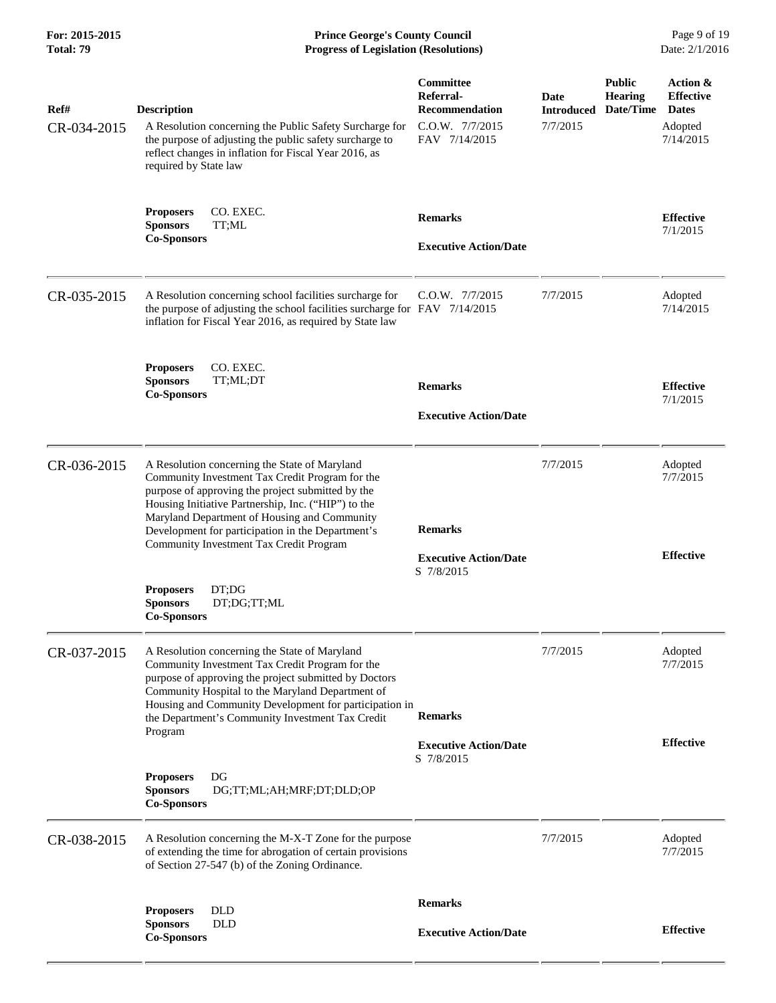**For: 2015-2015 Prince George's County Council** Page 9 of 19<br> **Prince George's County Council** Page 9 of 19<br> **Progress of Legislation (Resolutions)** Date: 2/1/2016 **Total: 79 Progress of Legislation (Resolutions)** 

| Ref#        | <b>Description</b>                                                                                                                                                                                                                                                                                                          | Committee<br>Referral-<br><b>Recommendation</b> | Date<br><b>Introduced</b> | <b>Public</b><br>Hearing<br>Date/Time | Action &<br><b>Effective</b><br><b>Dates</b> |
|-------------|-----------------------------------------------------------------------------------------------------------------------------------------------------------------------------------------------------------------------------------------------------------------------------------------------------------------------------|-------------------------------------------------|---------------------------|---------------------------------------|----------------------------------------------|
| CR-034-2015 | A Resolution concerning the Public Safety Surcharge for<br>the purpose of adjusting the public safety surcharge to<br>reflect changes in inflation for Fiscal Year 2016, as<br>required by State law                                                                                                                        | C.O.W. 7/7/2015<br>FAV 7/14/2015                | 7/7/2015                  |                                       | Adopted<br>7/14/2015                         |
|             | CO. EXEC.<br><b>Proposers</b><br><b>Sponsors</b><br>TT;ML                                                                                                                                                                                                                                                                   | <b>Remarks</b>                                  |                           |                                       | <b>Effective</b><br>7/1/2015                 |
|             | <b>Co-Sponsors</b>                                                                                                                                                                                                                                                                                                          | <b>Executive Action/Date</b>                    |                           |                                       |                                              |
| CR-035-2015 | A Resolution concerning school facilities surcharge for<br>the purpose of adjusting the school facilities surcharge for FAV 7/14/2015<br>inflation for Fiscal Year 2016, as required by State law                                                                                                                           | C.O.W. 7/7/2015                                 | 7/7/2015                  |                                       | Adopted<br>7/14/2015                         |
|             | CO. EXEC.<br><b>Proposers</b><br><b>Sponsors</b><br>TT;ML;DT                                                                                                                                                                                                                                                                | <b>Remarks</b>                                  |                           |                                       | <b>Effective</b>                             |
|             | <b>Co-Sponsors</b>                                                                                                                                                                                                                                                                                                          | <b>Executive Action/Date</b>                    |                           |                                       | 7/1/2015                                     |
| CR-036-2015 | A Resolution concerning the State of Maryland<br>Community Investment Tax Credit Program for the<br>purpose of approving the project submitted by the<br>Housing Initiative Partnership, Inc. ("HIP") to the<br>Maryland Department of Housing and Community                                                                |                                                 | 7/7/2015                  |                                       | Adopted<br>7/7/2015                          |
|             | Development for participation in the Department's<br>Community Investment Tax Credit Program                                                                                                                                                                                                                                | <b>Remarks</b><br><b>Executive Action/Date</b>  |                           |                                       | <b>Effective</b>                             |
|             | DT;DG<br><b>Proposers</b><br>DT;DG;TT;ML<br><b>Sponsors</b><br><b>Co-Sponsors</b>                                                                                                                                                                                                                                           | S 7/8/2015                                      |                           |                                       |                                              |
| CR-037-2015 | A Resolution concerning the State of Maryland<br>Community Investment Tax Credit Program for the<br>purpose of approving the project submitted by Doctors<br>Community Hospital to the Maryland Department of<br>Housing and Community Development for participation in<br>the Department's Community Investment Tax Credit | <b>Remarks</b>                                  | 7/7/2015                  |                                       | Adopted<br>7/7/2015                          |
|             | Program                                                                                                                                                                                                                                                                                                                     | <b>Executive Action/Date</b>                    |                           |                                       | <b>Effective</b>                             |
|             | DG<br><b>Proposers</b><br><b>Sponsors</b><br>DG;TT;ML;AH;MRF;DT;DLD;OP<br><b>Co-Sponsors</b>                                                                                                                                                                                                                                | S 7/8/2015                                      |                           |                                       |                                              |
| CR-038-2015 | A Resolution concerning the M-X-T Zone for the purpose<br>of extending the time for abrogation of certain provisions<br>of Section 27-547 (b) of the Zoning Ordinance.                                                                                                                                                      |                                                 | 7/7/2015                  |                                       | Adopted<br>7/7/2015                          |
|             | <b>DLD</b><br><b>Proposers</b>                                                                                                                                                                                                                                                                                              | <b>Remarks</b>                                  |                           |                                       |                                              |
|             | <b>Sponsors</b><br>DLD<br><b>Co-Sponsors</b>                                                                                                                                                                                                                                                                                | <b>Executive Action/Date</b>                    |                           |                                       | <b>Effective</b>                             |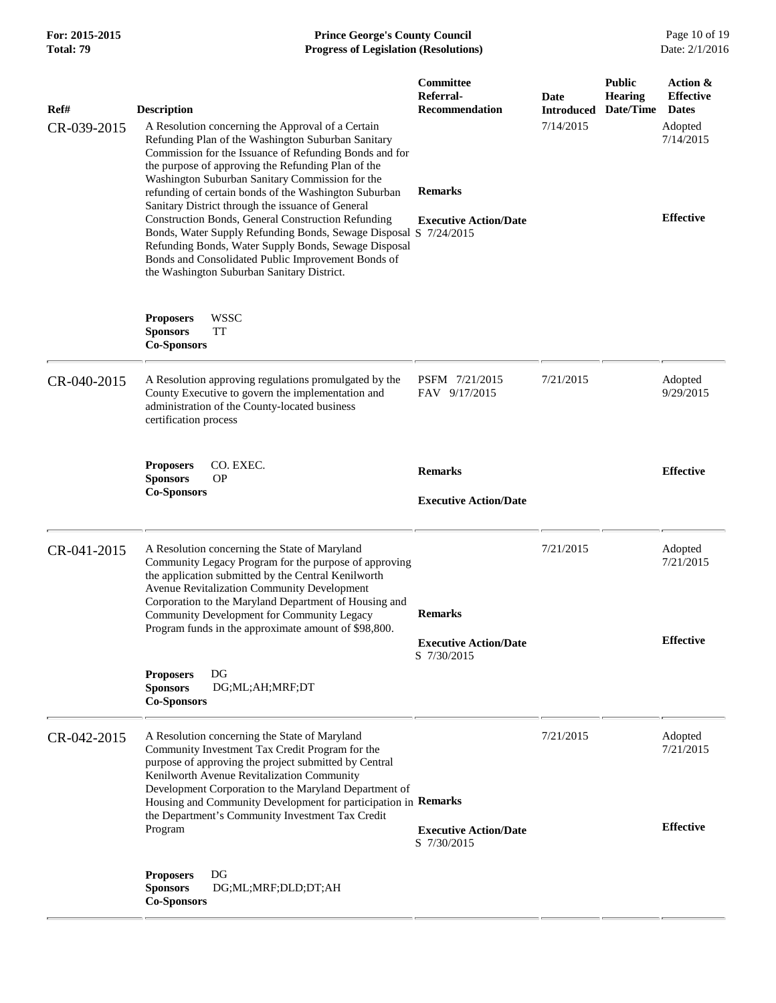| For: 2015-2015<br>Total: 79 | <b>Prince George's County Council</b><br>Date: 2/1/2016<br><b>Progress of Legislation (Resolutions)</b>                                                                                                                                                                                                                                                                                                                                                              |                                                                   |                                               |                                              |                                                                                          |
|-----------------------------|----------------------------------------------------------------------------------------------------------------------------------------------------------------------------------------------------------------------------------------------------------------------------------------------------------------------------------------------------------------------------------------------------------------------------------------------------------------------|-------------------------------------------------------------------|-----------------------------------------------|----------------------------------------------|------------------------------------------------------------------------------------------|
| Ref#<br>CR-039-2015         | <b>Description</b><br>A Resolution concerning the Approval of a Certain<br>Refunding Plan of the Washington Suburban Sanitary<br>Commission for the Issuance of Refunding Bonds and for<br>the purpose of approving the Refunding Plan of the<br>Washington Suburban Sanitary Commission for the<br>refunding of certain bonds of the Washington Suburban<br>Sanitary District through the issuance of General<br>Construction Bonds, General Construction Refunding | Committee<br>Referral-<br><b>Recommendation</b><br><b>Remarks</b> | <b>Date</b><br><b>Introduced</b><br>7/14/2015 | <b>Public</b><br><b>Hearing</b><br>Date/Time | Action &<br><b>Effective</b><br><b>Dates</b><br>Adopted<br>7/14/2015<br><b>Effective</b> |
|                             | Bonds, Water Supply Refunding Bonds, Sewage Disposal S 7/24/2015<br>Refunding Bonds, Water Supply Bonds, Sewage Disposal<br>Bonds and Consolidated Public Improvement Bonds of<br>the Washington Suburban Sanitary District.                                                                                                                                                                                                                                         | <b>Executive Action/Date</b>                                      |                                               |                                              |                                                                                          |
|                             | <b>WSSC</b><br><b>Proposers</b><br><b>TT</b><br><b>Sponsors</b><br><b>Co-Sponsors</b>                                                                                                                                                                                                                                                                                                                                                                                |                                                                   |                                               |                                              |                                                                                          |
| CR-040-2015                 | A Resolution approving regulations promulgated by the<br>County Executive to govern the implementation and<br>administration of the County-located business<br>certification process                                                                                                                                                                                                                                                                                 | PSFM 7/21/2015<br>FAV 9/17/2015                                   | 7/21/2015                                     |                                              | Adopted<br>9/29/2015                                                                     |
|                             | <b>Proposers</b><br>CO. EXEC.<br><b>Sponsors</b><br><b>OP</b><br><b>Co-Sponsors</b>                                                                                                                                                                                                                                                                                                                                                                                  | <b>Remarks</b><br><b>Executive Action/Date</b>                    |                                               |                                              | <b>Effective</b>                                                                         |
| CR-041-2015                 | A Resolution concerning the State of Maryland<br>Community Legacy Program for the purpose of approving<br>the application submitted by the Central Kenilworth<br><b>Avenue Revitalization Community Development</b><br>Corporation to the Maryland Department of Housing and                                                                                                                                                                                         | <b>Remarks</b>                                                    | 7/21/2015                                     |                                              | Adopted<br>7/21/2015                                                                     |
|                             | Community Development for Community Legacy<br>Program funds in the approximate amount of \$98,800.                                                                                                                                                                                                                                                                                                                                                                   | <b>Executive Action/Date</b><br>S 7/30/2015                       |                                               |                                              | <b>Effective</b>                                                                         |
|                             | <b>Proposers</b><br>DG<br><b>Sponsors</b><br>DG;ML;AH;MRF;DT<br><b>Co-Sponsors</b>                                                                                                                                                                                                                                                                                                                                                                                   |                                                                   |                                               |                                              |                                                                                          |
| CR-042-2015                 | A Resolution concerning the State of Maryland<br>Community Investment Tax Credit Program for the<br>purpose of approving the project submitted by Central<br>Kenilworth Avenue Revitalization Community<br>Development Corporation to the Maryland Department of<br>Housing and Community Development for participation in Remarks                                                                                                                                   |                                                                   | 7/21/2015                                     |                                              | Adopted<br>7/21/2015                                                                     |
|                             | the Department's Community Investment Tax Credit<br>Program                                                                                                                                                                                                                                                                                                                                                                                                          | <b>Executive Action/Date</b><br>S 7/30/2015                       |                                               |                                              | <b>Effective</b>                                                                         |
|                             | <b>Proposers</b><br>DG<br><b>Sponsors</b><br>DG;ML;MRF;DLD;DT;AH<br><b>Co-Sponsors</b>                                                                                                                                                                                                                                                                                                                                                                               |                                                                   |                                               |                                              |                                                                                          |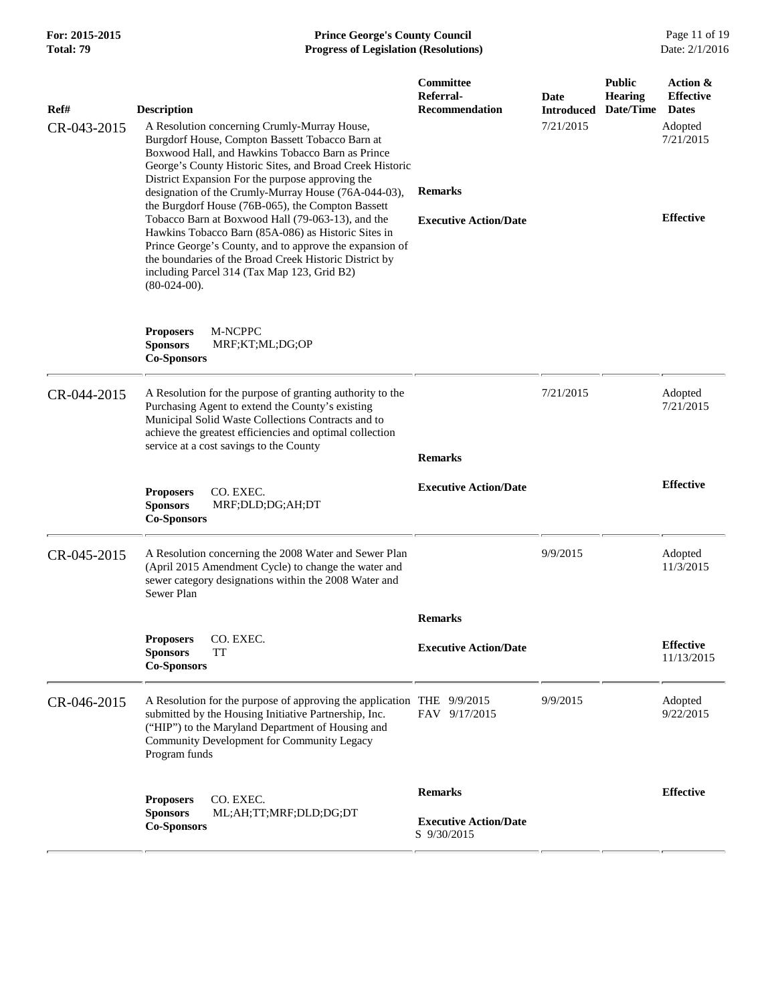#### **For: 2015-2015 Prince George's County Council** Page 11 of 19<br> **Prince George's County Council** Page 11 of 19<br> **Progress of Legislation (Resolutions)** Date: 2/1/2016 **Total: 79 Progress of Legislation (Resolutions)**

| Ref#        | <b>Description</b>                                                                                                                                                                                                                                                                                                                                   | Committee<br>Referral-<br><b>Recommendation</b> | Date<br><b>Introduced</b> | <b>Public</b><br><b>Hearing</b><br>Date/Time | Action &<br><b>Effective</b><br><b>Dates</b> |
|-------------|------------------------------------------------------------------------------------------------------------------------------------------------------------------------------------------------------------------------------------------------------------------------------------------------------------------------------------------------------|-------------------------------------------------|---------------------------|----------------------------------------------|----------------------------------------------|
| CR-043-2015 | A Resolution concerning Crumly-Murray House,<br>Burgdorf House, Compton Bassett Tobacco Barn at<br>Boxwood Hall, and Hawkins Tobacco Barn as Prince<br>George's County Historic Sites, and Broad Creek Historic                                                                                                                                      |                                                 | 7/21/2015                 |                                              | Adopted<br>7/21/2015                         |
|             | District Expansion For the purpose approving the<br>designation of the Crumly-Murray House (76A-044-03),                                                                                                                                                                                                                                             | <b>Remarks</b>                                  |                           |                                              |                                              |
|             | the Burgdorf House (76B-065), the Compton Bassett<br>Tobacco Barn at Boxwood Hall (79-063-13), and the<br>Hawkins Tobacco Barn (85A-086) as Historic Sites in<br>Prince George's County, and to approve the expansion of<br>the boundaries of the Broad Creek Historic District by<br>including Parcel 314 (Tax Map 123, Grid B2)<br>$(80-024-00)$ . | <b>Executive Action/Date</b>                    |                           |                                              | <b>Effective</b>                             |
|             | <b>Proposers</b><br>M-NCPPC<br><b>Sponsors</b><br>MRF;KT;ML;DG;OP<br><b>Co-Sponsors</b>                                                                                                                                                                                                                                                              |                                                 |                           |                                              |                                              |
| CR-044-2015 | A Resolution for the purpose of granting authority to the<br>Purchasing Agent to extend the County's existing<br>Municipal Solid Waste Collections Contracts and to<br>achieve the greatest efficiencies and optimal collection<br>service at a cost savings to the County                                                                           | <b>Remarks</b>                                  | 7/21/2015                 |                                              | Adopted<br>7/21/2015                         |
|             | <b>Proposers</b><br>CO. EXEC.<br><b>Sponsors</b><br>MRF;DLD;DG;AH;DT<br><b>Co-Sponsors</b>                                                                                                                                                                                                                                                           | <b>Executive Action/Date</b>                    |                           |                                              | <b>Effective</b>                             |
| CR-045-2015 | A Resolution concerning the 2008 Water and Sewer Plan<br>(April 2015 Amendment Cycle) to change the water and<br>sewer category designations within the 2008 Water and<br>Sewer Plan                                                                                                                                                                 |                                                 | 9/9/2015                  |                                              | Adopted<br>11/3/2015                         |
|             |                                                                                                                                                                                                                                                                                                                                                      | <b>Remarks</b>                                  |                           |                                              |                                              |
|             | CO. EXEC<br><b>Proposers</b><br>TT<br><b>Sponsors</b><br><b>Co-Sponsors</b>                                                                                                                                                                                                                                                                          | <b>Executive Action/Date</b>                    |                           |                                              | <b>Effective</b><br>11/13/2015               |
| CR-046-2015 | A Resolution for the purpose of approving the application THE 9/9/2015<br>submitted by the Housing Initiative Partnership, Inc.<br>("HIP") to the Maryland Department of Housing and<br>Community Development for Community Legacy<br>Program funds                                                                                                  | FAV 9/17/2015                                   | 9/9/2015                  |                                              | Adopted<br>9/22/2015                         |
|             | CO. EXEC.<br><b>Proposers</b>                                                                                                                                                                                                                                                                                                                        | <b>Remarks</b>                                  |                           |                                              | <b>Effective</b>                             |
|             | ML;AH;TT;MRF;DLD;DG;DT<br><b>Sponsors</b><br><b>Co-Sponsors</b>                                                                                                                                                                                                                                                                                      | <b>Executive Action/Date</b><br>S 9/30/2015     |                           |                                              |                                              |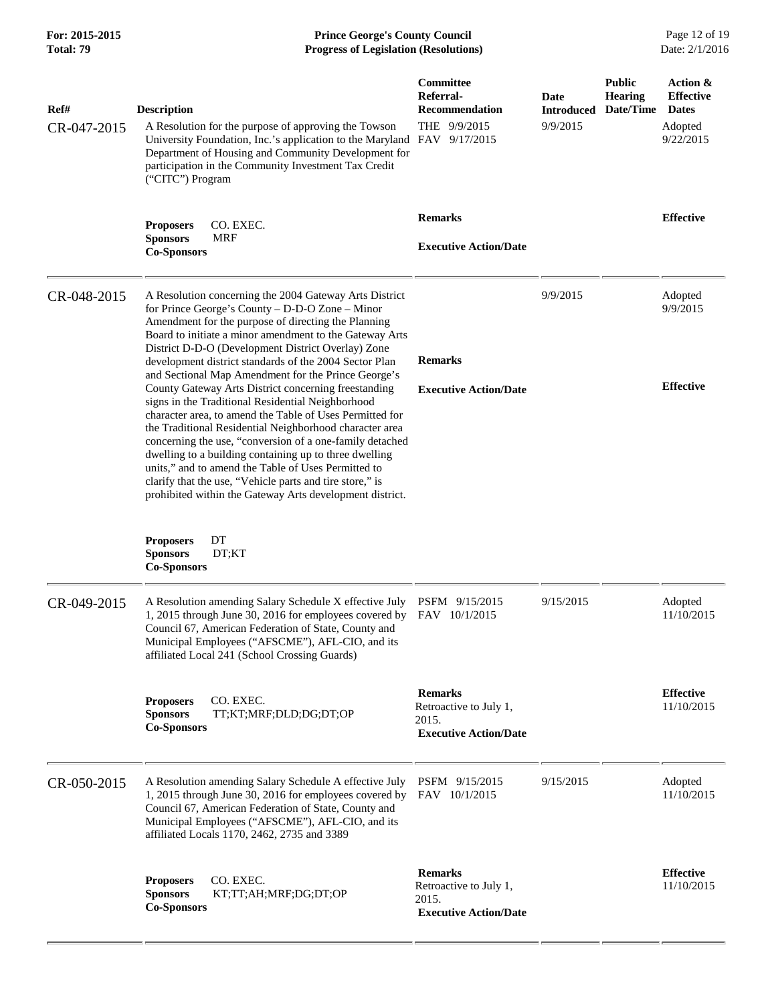## **For: 2015-2015 Prince George's County Council** Page 12 of 19<br> **Prince George's County Council** Page 12 of 19<br> **Progress of Legislation (Resolutions)** Date: 2/1/2016 **Total: 79 Progress of Legislation (Resolutions)**

| Ref#<br>CR-047-2015 | <b>Description</b><br>A Resolution for the purpose of approving the Towson<br>University Foundation, Inc.'s application to the Maryland FAV 9/17/2015<br>Department of Housing and Community Development for<br>participation in the Community Investment Tax Credit<br>("CITC") Program                                                                                                                                                                                                                                                                                                                                                                                                                                                                                                                                                                                                                                                    | Committee<br>Referral-<br><b>Recommendation</b><br>THE 9/9/2015                   | Date<br><b>Introduced</b><br>9/9/2015 | <b>Public</b><br><b>Hearing</b><br>Date/Time | Action &<br><b>Effective</b><br><b>Dates</b><br>Adopted<br>9/22/2015 |
|---------------------|---------------------------------------------------------------------------------------------------------------------------------------------------------------------------------------------------------------------------------------------------------------------------------------------------------------------------------------------------------------------------------------------------------------------------------------------------------------------------------------------------------------------------------------------------------------------------------------------------------------------------------------------------------------------------------------------------------------------------------------------------------------------------------------------------------------------------------------------------------------------------------------------------------------------------------------------|-----------------------------------------------------------------------------------|---------------------------------------|----------------------------------------------|----------------------------------------------------------------------|
|                     | <b>Proposers</b><br>CO. EXEC.<br><b>Sponsors</b><br>MRF<br><b>Co-Sponsors</b>                                                                                                                                                                                                                                                                                                                                                                                                                                                                                                                                                                                                                                                                                                                                                                                                                                                               | <b>Remarks</b><br><b>Executive Action/Date</b>                                    |                                       |                                              | <b>Effective</b>                                                     |
| CR-048-2015         | A Resolution concerning the 2004 Gateway Arts District<br>for Prince George's County - D-D-O Zone - Minor<br>Amendment for the purpose of directing the Planning<br>Board to initiate a minor amendment to the Gateway Arts<br>District D-D-O (Development District Overlay) Zone<br>development district standards of the 2004 Sector Plan<br>and Sectional Map Amendment for the Prince George's<br>County Gateway Arts District concerning freestanding<br>signs in the Traditional Residential Neighborhood<br>character area, to amend the Table of Uses Permitted for<br>the Traditional Residential Neighborhood character area<br>concerning the use, "conversion of a one-family detached<br>dwelling to a building containing up to three dwelling<br>units," and to amend the Table of Uses Permitted to<br>clarify that the use, "Vehicle parts and tire store," is<br>prohibited within the Gateway Arts development district. | <b>Remarks</b><br><b>Executive Action/Date</b>                                    | 9/9/2015                              |                                              | Adopted<br>9/9/2015<br><b>Effective</b>                              |
|                     | <b>Proposers</b><br>DT<br>DT;KT<br><b>Sponsors</b><br><b>Co-Sponsors</b>                                                                                                                                                                                                                                                                                                                                                                                                                                                                                                                                                                                                                                                                                                                                                                                                                                                                    |                                                                                   |                                       |                                              |                                                                      |
| CR-049-2015         | A Resolution amending Salary Schedule X effective July PSFM 9/15/2015<br>1, 2015 through June 30, 2016 for employees covered by FAV 10/1/2015<br>Council 67, American Federation of State, County and<br>Municipal Employees ("AFSCME"), AFL-CIO, and its<br>affiliated Local 241 (School Crossing Guards)                                                                                                                                                                                                                                                                                                                                                                                                                                                                                                                                                                                                                                  |                                                                                   | 9/15/2015                             |                                              | Adopted<br>11/10/2015                                                |
|                     | CO. EXEC.<br><b>Proposers</b><br>TT;KT;MRF;DLD;DG;DT;OP<br><b>Sponsors</b><br><b>Co-Sponsors</b>                                                                                                                                                                                                                                                                                                                                                                                                                                                                                                                                                                                                                                                                                                                                                                                                                                            | <b>Remarks</b><br>Retroactive to July 1,<br>2015.<br><b>Executive Action/Date</b> |                                       |                                              | <b>Effective</b><br>11/10/2015                                       |
| CR-050-2015         | A Resolution amending Salary Schedule A effective July<br>1, 2015 through June 30, 2016 for employees covered by<br>Council 67, American Federation of State, County and<br>Municipal Employees ("AFSCME"), AFL-CIO, and its<br>affiliated Locals 1170, 2462, 2735 and 3389                                                                                                                                                                                                                                                                                                                                                                                                                                                                                                                                                                                                                                                                 | PSFM 9/15/2015<br>FAV 10/1/2015                                                   | 9/15/2015                             |                                              | Adopted<br>11/10/2015                                                |
|                     | CO. EXEC.<br><b>Proposers</b><br><b>Sponsors</b><br>KT;TT;AH;MRF;DG;DT;OP<br><b>Co-Sponsors</b>                                                                                                                                                                                                                                                                                                                                                                                                                                                                                                                                                                                                                                                                                                                                                                                                                                             | <b>Remarks</b><br>Retroactive to July 1,<br>2015.<br><b>Executive Action/Date</b> |                                       |                                              | <b>Effective</b><br>11/10/2015                                       |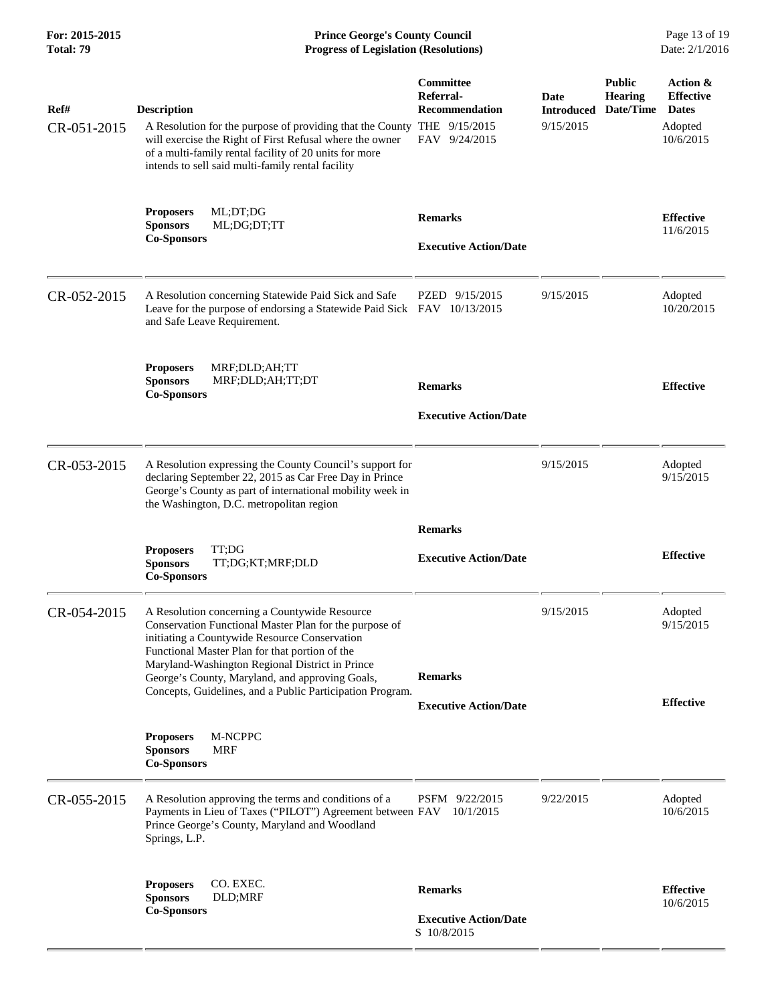**For: 2015-2015 Prince George's County Council** Page 13 of 19<br> **Prince George's County Council** Page 13 of 19<br> **Progress of Legislation (Resolutions)** Date: 2/1/2016 **Total: 79 Progress of Legislation (Resolutions)** 

| Ref#<br>CR-051-2015 | <b>Description</b><br>A Resolution for the purpose of providing that the County THE 9/15/2015<br>will exercise the Right of First Refusal where the owner<br>of a multi-family rental facility of 20 units for more<br>intends to sell said multi-family rental facility                                                                                                      | Committee<br>Referral-<br><b>Recommendation</b><br>FAV 9/24/2015 | Date<br><b>Introduced</b><br>9/15/2015 | <b>Public</b><br><b>Hearing</b><br>Date/Time | Action &<br><b>Effective</b><br><b>Dates</b><br>Adopted<br>10/6/2015 |
|---------------------|-------------------------------------------------------------------------------------------------------------------------------------------------------------------------------------------------------------------------------------------------------------------------------------------------------------------------------------------------------------------------------|------------------------------------------------------------------|----------------------------------------|----------------------------------------------|----------------------------------------------------------------------|
|                     | ML;DT;DG<br><b>Proposers</b><br><b>Sponsors</b><br>ML;DG;DT;TT<br><b>Co-Sponsors</b>                                                                                                                                                                                                                                                                                          | <b>Remarks</b><br><b>Executive Action/Date</b>                   |                                        |                                              | <b>Effective</b><br>11/6/2015                                        |
| CR-052-2015         | A Resolution concerning Statewide Paid Sick and Safe<br>Leave for the purpose of endorsing a Statewide Paid Sick FAV 10/13/2015<br>and Safe Leave Requirement.                                                                                                                                                                                                                | PZED 9/15/2015                                                   | 9/15/2015                              |                                              | Adopted<br>10/20/2015                                                |
|                     | MRF;DLD;AH;TT<br><b>Proposers</b><br><b>Sponsors</b><br>MRF;DLD;AH;TT;DT<br><b>Co-Sponsors</b>                                                                                                                                                                                                                                                                                | <b>Remarks</b><br><b>Executive Action/Date</b>                   |                                        |                                              | <b>Effective</b>                                                     |
| CR-053-2015         | A Resolution expressing the County Council's support for<br>declaring September 22, 2015 as Car Free Day in Prince<br>George's County as part of international mobility week in<br>the Washington, D.C. metropolitan region                                                                                                                                                   |                                                                  | 9/15/2015                              |                                              | Adopted<br>9/15/2015                                                 |
|                     | TT:DG<br><b>Proposers</b><br><b>Sponsors</b><br>TT;DG;KT;MRF;DLD<br><b>Co-Sponsors</b>                                                                                                                                                                                                                                                                                        | <b>Remarks</b><br><b>Executive Action/Date</b>                   |                                        |                                              | <b>Effective</b>                                                     |
| CR-054-2015         | A Resolution concerning a Countywide Resource<br>Conservation Functional Master Plan for the purpose of<br>initiating a Countywide Resource Conservation<br>Functional Master Plan for that portion of the<br>Maryland-Washington Regional District in Prince<br>George's County, Maryland, and approving Goals,<br>Concepts, Guidelines, and a Public Participation Program. | <b>Remarks</b><br><b>Executive Action/Date</b>                   | 9/15/2015                              |                                              | Adopted<br>9/15/2015<br><b>Effective</b>                             |
|                     | M-NCPPC<br><b>Proposers</b><br><b>Sponsors</b><br>MRF<br><b>Co-Sponsors</b>                                                                                                                                                                                                                                                                                                   |                                                                  |                                        |                                              |                                                                      |
| CR-055-2015         | A Resolution approving the terms and conditions of a<br>Payments in Lieu of Taxes ("PILOT") Agreement between FAV 10/1/2015<br>Prince George's County, Maryland and Woodland<br>Springs, L.P.                                                                                                                                                                                 | PSFM 9/22/2015                                                   | 9/22/2015                              |                                              | Adopted<br>10/6/2015                                                 |
|                     | CO. EXEC.<br><b>Proposers</b><br>DLD;MRF<br><b>Sponsors</b><br><b>Co-Sponsors</b>                                                                                                                                                                                                                                                                                             | <b>Remarks</b><br><b>Executive Action/Date</b><br>S 10/8/2015    |                                        |                                              | <b>Effective</b><br>10/6/2015                                        |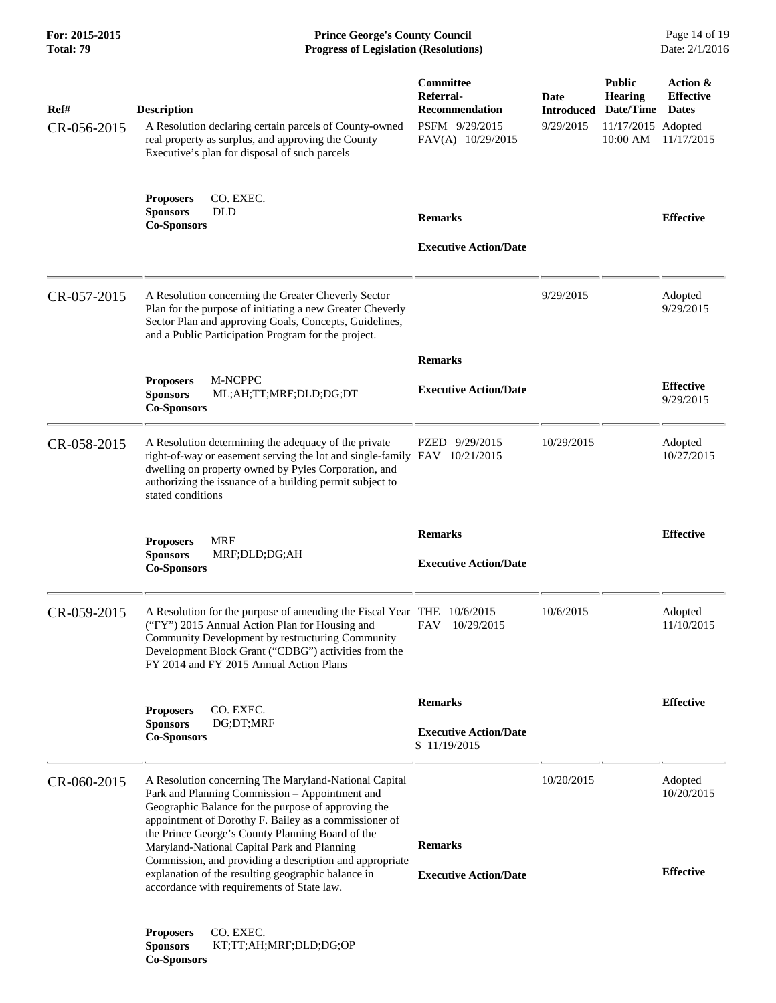| For: 2015-2015<br><b>Total: 79</b> | <b>Prince George's County Council</b><br><b>Progress of Legislation (Resolutions)</b>                                                                                                                                                                                                                                                                                                                                                                                                     |                                                                                               |                                        |                                                                                | Page 14 of 19<br>Date: 2/1/2016                            |
|------------------------------------|-------------------------------------------------------------------------------------------------------------------------------------------------------------------------------------------------------------------------------------------------------------------------------------------------------------------------------------------------------------------------------------------------------------------------------------------------------------------------------------------|-----------------------------------------------------------------------------------------------|----------------------------------------|--------------------------------------------------------------------------------|------------------------------------------------------------|
| Ref#<br>CR-056-2015                | <b>Description</b><br>A Resolution declaring certain parcels of County-owned<br>real property as surplus, and approving the County<br>Executive's plan for disposal of such parcels                                                                                                                                                                                                                                                                                                       | <b>Committee</b><br>Referral-<br><b>Recommendation</b><br>PSFM 9/29/2015<br>FAV(A) 10/29/2015 | Date<br><b>Introduced</b><br>9/29/2015 | <b>Public</b><br><b>Hearing</b><br>Date/Time<br>11/17/2015 Adopted<br>10:00 AM | Action &<br><b>Effective</b><br><b>Dates</b><br>11/17/2015 |
|                                    | CO. EXEC.<br><b>Proposers</b><br><b>Sponsors</b><br><b>DLD</b><br><b>Co-Sponsors</b>                                                                                                                                                                                                                                                                                                                                                                                                      | <b>Remarks</b><br><b>Executive Action/Date</b>                                                |                                        |                                                                                | <b>Effective</b>                                           |
| CR-057-2015                        | A Resolution concerning the Greater Cheverly Sector<br>Plan for the purpose of initiating a new Greater Cheverly<br>Sector Plan and approving Goals, Concepts, Guidelines,<br>and a Public Participation Program for the project.                                                                                                                                                                                                                                                         |                                                                                               | 9/29/2015                              |                                                                                | Adopted<br>9/29/2015                                       |
|                                    | M-NCPPC<br><b>Proposers</b><br><b>Sponsors</b><br>ML;AH;TT;MRF;DLD;DG;DT<br><b>Co-Sponsors</b>                                                                                                                                                                                                                                                                                                                                                                                            | <b>Remarks</b><br><b>Executive Action/Date</b>                                                |                                        |                                                                                | <b>Effective</b><br>9/29/2015                              |
| CR-058-2015                        | A Resolution determining the adequacy of the private<br>right-of-way or easement serving the lot and single-family FAV 10/21/2015<br>dwelling on property owned by Pyles Corporation, and<br>authorizing the issuance of a building permit subject to<br>stated conditions                                                                                                                                                                                                                | PZED 9/29/2015                                                                                | 10/29/2015                             |                                                                                | Adopted<br>10/27/2015                                      |
|                                    | <b>Proposers</b><br><b>MRF</b><br><b>Sponsors</b><br>MRF;DLD;DG;AH<br><b>Co-Sponsors</b>                                                                                                                                                                                                                                                                                                                                                                                                  | <b>Remarks</b><br><b>Executive Action/Date</b>                                                |                                        |                                                                                | <b>Effective</b>                                           |
| CR-059-2015                        | A Resolution for the purpose of amending the Fiscal Year THE 10/6/2015<br>("FY") 2015 Annual Action Plan for Housing and<br>Community Development by restructuring Community<br>Development Block Grant ("CDBG") activities from the<br>FY 2014 and FY 2015 Annual Action Plans                                                                                                                                                                                                           | 10/29/2015<br>FAV                                                                             | 10/6/2015                              |                                                                                | Adopted<br>11/10/2015                                      |
|                                    | CO. EXEC.<br><b>Proposers</b><br><b>Sponsors</b><br>DG;DT;MRF<br><b>Co-Sponsors</b>                                                                                                                                                                                                                                                                                                                                                                                                       | <b>Remarks</b><br><b>Executive Action/Date</b><br>S 11/19/2015                                |                                        |                                                                                | <b>Effective</b>                                           |
| CR-060-2015                        | A Resolution concerning The Maryland-National Capital<br>Park and Planning Commission - Appointment and<br>Geographic Balance for the purpose of approving the<br>appointment of Dorothy F. Bailey as a commissioner of<br>the Prince George's County Planning Board of the<br>Maryland-National Capital Park and Planning<br>Commission, and providing a description and appropriate<br>explanation of the resulting geographic balance in<br>accordance with requirements of State law. | <b>Remarks</b><br><b>Executive Action/Date</b>                                                | 10/20/2015                             |                                                                                | Adopted<br>10/20/2015<br><b>Effective</b>                  |
|                                    | CO. EXEC.<br><b>Proposers</b><br><b>Sponsors</b><br>KT;TT;AH;MRF;DLD;DG;OP<br><b>Co-Sponsors</b>                                                                                                                                                                                                                                                                                                                                                                                          |                                                                                               |                                        |                                                                                |                                                            |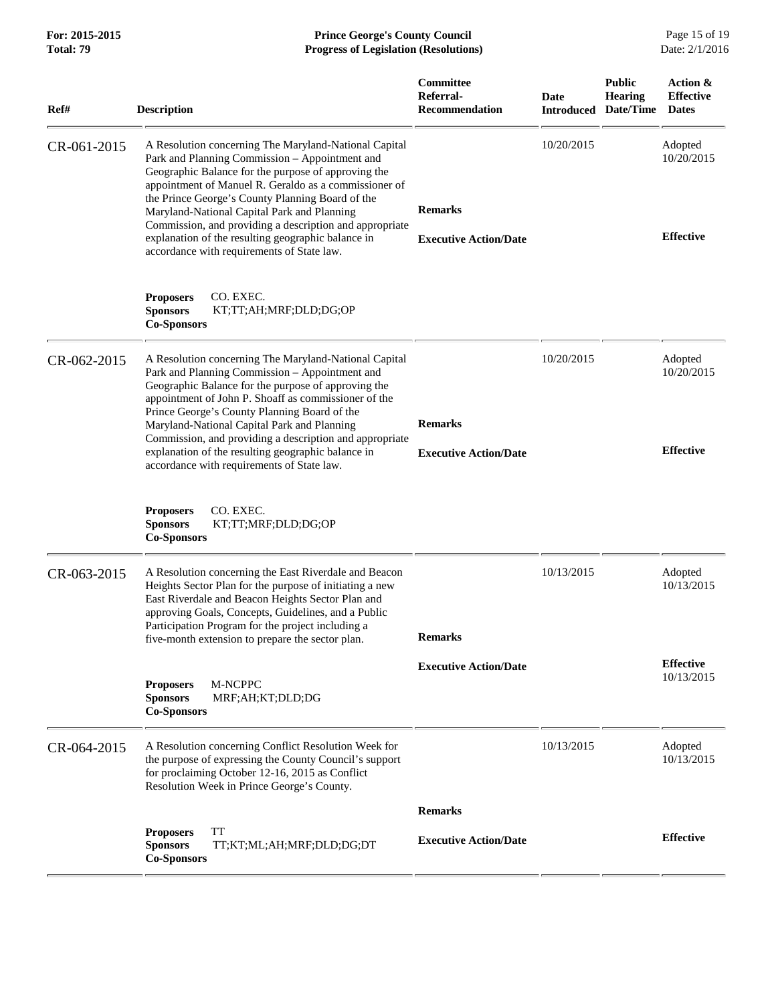| Ref#        | <b>Description</b>                                                                                                                                                                                                                                                                                                                                                                                                                                                                        | Committee<br>Referral-<br><b>Recommendation</b> | Date<br><b>Introduced</b> | <b>Public</b><br><b>Hearing</b><br>Date/Time | Action &<br><b>Effective</b><br><b>Dates</b> |
|-------------|-------------------------------------------------------------------------------------------------------------------------------------------------------------------------------------------------------------------------------------------------------------------------------------------------------------------------------------------------------------------------------------------------------------------------------------------------------------------------------------------|-------------------------------------------------|---------------------------|----------------------------------------------|----------------------------------------------|
| CR-061-2015 | A Resolution concerning The Maryland-National Capital<br>Park and Planning Commission - Appointment and<br>Geographic Balance for the purpose of approving the<br>appointment of Manuel R. Geraldo as a commissioner of<br>the Prince George's County Planning Board of the<br>Maryland-National Capital Park and Planning<br>Commission, and providing a description and appropriate<br>explanation of the resulting geographic balance in<br>accordance with requirements of State law. | <b>Remarks</b><br><b>Executive Action/Date</b>  | 10/20/2015                |                                              | Adopted<br>10/20/2015<br><b>Effective</b>    |
|             | <b>Proposers</b><br>CO. EXEC.<br><b>Sponsors</b><br>KT;TT;AH;MRF;DLD;DG;OP<br><b>Co-Sponsors</b>                                                                                                                                                                                                                                                                                                                                                                                          |                                                 |                           |                                              |                                              |
| CR-062-2015 | A Resolution concerning The Maryland-National Capital<br>Park and Planning Commission - Appointment and<br>Geographic Balance for the purpose of approving the<br>appointment of John P. Shoaff as commissioner of the<br>Prince George's County Planning Board of the<br>Maryland-National Capital Park and Planning<br>Commission, and providing a description and appropriate<br>explanation of the resulting geographic balance in<br>accordance with requirements of State law.      | <b>Remarks</b><br><b>Executive Action/Date</b>  | 10/20/2015                |                                              | Adopted<br>10/20/2015<br><b>Effective</b>    |
|             | <b>Proposers</b><br>CO. EXEC.<br><b>Sponsors</b><br>KT;TT;MRF;DLD;DG;OP<br><b>Co-Sponsors</b>                                                                                                                                                                                                                                                                                                                                                                                             |                                                 |                           |                                              |                                              |
| CR-063-2015 | A Resolution concerning the East Riverdale and Beacon<br>Heights Sector Plan for the purpose of initiating a new<br>East Riverdale and Beacon Heights Sector Plan and<br>approving Goals, Concepts, Guidelines, and a Public<br>Participation Program for the project including a<br>five-month extension to prepare the sector plan.                                                                                                                                                     | <b>Remarks</b>                                  | 10/13/2015                |                                              | Adopted<br>10/13/2015                        |
|             | M-NCPPC<br><b>Proposers</b><br>MRF;AH;KT;DLD;DG<br><b>Sponsors</b><br><b>Co-Sponsors</b>                                                                                                                                                                                                                                                                                                                                                                                                  | <b>Executive Action/Date</b>                    |                           |                                              | <b>Effective</b><br>10/13/2015               |
| CR-064-2015 | A Resolution concerning Conflict Resolution Week for<br>the purpose of expressing the County Council's support<br>for proclaiming October 12-16, 2015 as Conflict<br>Resolution Week in Prince George's County.                                                                                                                                                                                                                                                                           |                                                 | 10/13/2015                |                                              | Adopted<br>10/13/2015                        |
|             |                                                                                                                                                                                                                                                                                                                                                                                                                                                                                           | <b>Remarks</b>                                  |                           |                                              |                                              |
|             | <b>TT</b><br><b>Proposers</b><br><b>Sponsors</b><br>TT;KT;ML;AH;MRF;DLD;DG;DT<br><b>Co-Sponsors</b>                                                                                                                                                                                                                                                                                                                                                                                       | <b>Executive Action/Date</b>                    |                           |                                              | <b>Effective</b>                             |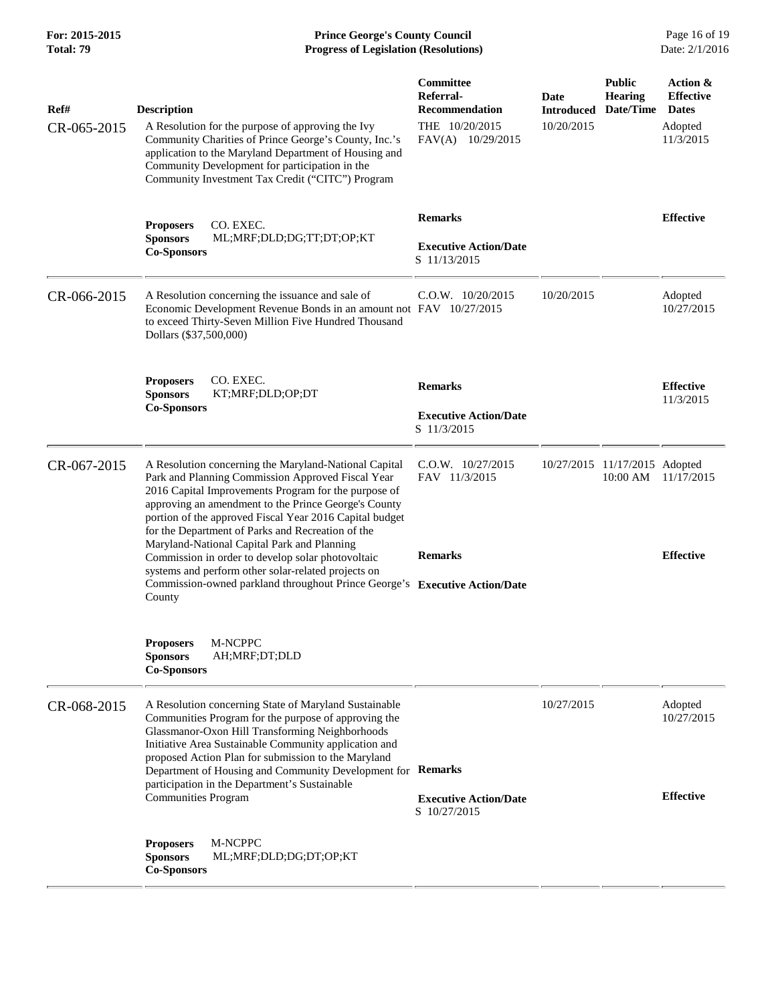**For: 2015-2015 Prince George's County Council** Page 16 of 19<br> **Prince George's County Council** Page 16 of 19<br> **Progress of Legislation (Resolutions)** Date: 2/1/2016 **Total: 79 Progress of Legislation (Resolutions)** 

| Ref#<br>CR-065-2015 | <b>Description</b><br>A Resolution for the purpose of approving the Ivy<br>Community Charities of Prince George's County, Inc.'s<br>application to the Maryland Department of Housing and<br>Community Development for participation in the<br>Community Investment Tax Credit ("CITC") Program                                                                                                  | Committee<br>Referral-<br><b>Recommendation</b><br>THE 10/20/2015<br>FAV(A) 10/29/2015 | Date<br><b>Introduced</b><br>10/20/2015 | <b>Public</b><br><b>Hearing</b><br>Date/Time | Action &<br><b>Effective</b><br><b>Dates</b><br>Adopted<br>11/3/2015 |
|---------------------|--------------------------------------------------------------------------------------------------------------------------------------------------------------------------------------------------------------------------------------------------------------------------------------------------------------------------------------------------------------------------------------------------|----------------------------------------------------------------------------------------|-----------------------------------------|----------------------------------------------|----------------------------------------------------------------------|
|                     | CO. EXEC.<br><b>Proposers</b><br><b>Sponsors</b><br>ML;MRF;DLD;DG;TT;DT;OP;KT<br><b>Co-Sponsors</b>                                                                                                                                                                                                                                                                                              | <b>Remarks</b><br><b>Executive Action/Date</b><br>S 11/13/2015                         |                                         |                                              | <b>Effective</b>                                                     |
| CR-066-2015         | A Resolution concerning the issuance and sale of<br>Economic Development Revenue Bonds in an amount not FAV 10/27/2015<br>to exceed Thirty-Seven Million Five Hundred Thousand<br>Dollars (\$37,500,000)                                                                                                                                                                                         | $C.0.W.$ 10/20/2015                                                                    | 10/20/2015                              |                                              | Adopted<br>10/27/2015                                                |
|                     | CO. EXEC.<br><b>Proposers</b><br>KT;MRF;DLD;OP;DT<br><b>Sponsors</b><br><b>Co-Sponsors</b>                                                                                                                                                                                                                                                                                                       | <b>Remarks</b><br><b>Executive Action/Date</b><br>S 11/3/2015                          |                                         |                                              | <b>Effective</b><br>11/3/2015                                        |
| CR-067-2015         | A Resolution concerning the Maryland-National Capital<br>Park and Planning Commission Approved Fiscal Year<br>2016 Capital Improvements Program for the purpose of<br>approving an amendment to the Prince George's County<br>portion of the approved Fiscal Year 2016 Capital budget<br>for the Department of Parks and Recreation of the                                                       | C.O.W. 10/27/2015<br>FAV 11/3/2015                                                     |                                         | 10/27/2015 11/17/2015 Adopted<br>10:00 AM    | 11/17/2015                                                           |
|                     | Maryland-National Capital Park and Planning<br>Commission in order to develop solar photovoltaic<br>systems and perform other solar-related projects on<br>Commission-owned parkland throughout Prince George's Executive Action/Date<br>County                                                                                                                                                  | <b>Remarks</b>                                                                         |                                         |                                              | <b>Effective</b>                                                     |
|                     | M-NCPPC<br><b>Proposers</b><br>AH;MRF;DT;DLD<br><b>Sponsors</b><br><b>Co-Sponsors</b>                                                                                                                                                                                                                                                                                                            |                                                                                        |                                         |                                              |                                                                      |
| CR-068-2015         | A Resolution concerning State of Maryland Sustainable<br>Communities Program for the purpose of approving the<br>Glassmanor-Oxon Hill Transforming Neighborhoods<br>Initiative Area Sustainable Community application and<br>proposed Action Plan for submission to the Maryland<br>Department of Housing and Community Development for Remarks<br>participation in the Department's Sustainable |                                                                                        | 10/27/2015                              |                                              | Adopted<br>10/27/2015                                                |
|                     | <b>Communities Program</b><br>M-NCPPC<br><b>Proposers</b><br><b>Sponsors</b><br>ML;MRF;DLD;DG;DT;OP;KT<br><b>Co-Sponsors</b>                                                                                                                                                                                                                                                                     | <b>Executive Action/Date</b><br>S 10/27/2015                                           |                                         |                                              | <b>Effective</b>                                                     |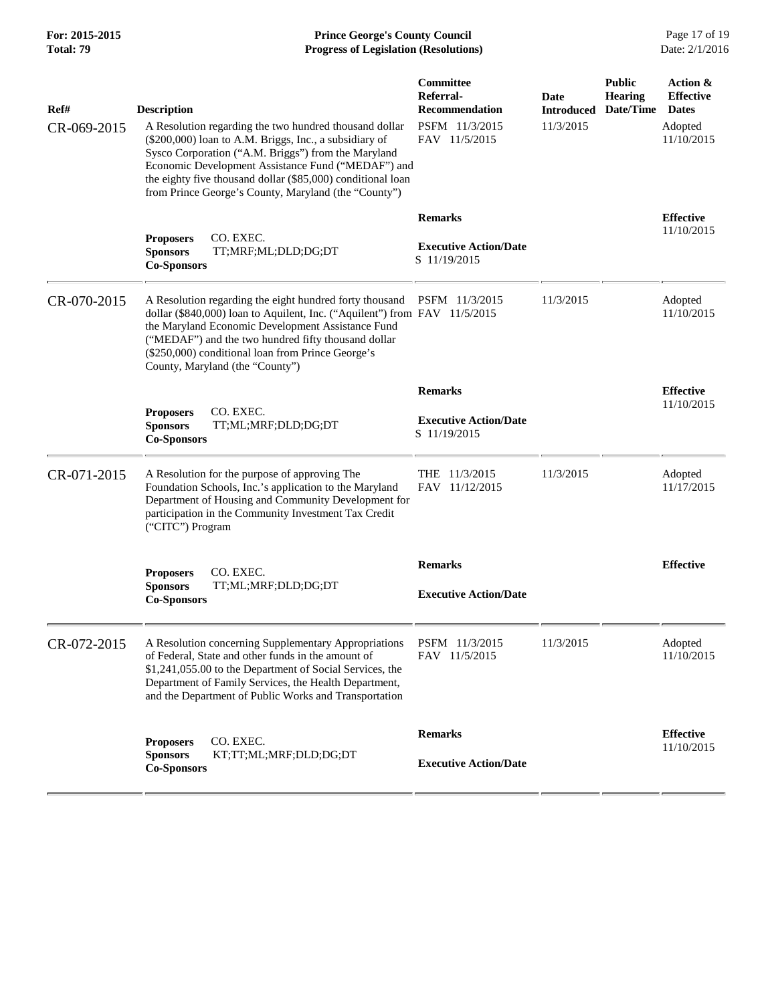**For: 2015-2015 Prince George's County Council** Page 17 of 19<br> **Prince George's County Council** Page 17 of 19<br> **Progress of Legislation (Resolutions)** Date: 2/1/2016 **Total: 79 Progress of Legislation (Resolutions)** 

| Ref#<br>CR-069-2015 | <b>Description</b><br>A Resolution regarding the two hundred thousand dollar<br>(\$200,000) loan to A.M. Briggs, Inc., a subsidiary of<br>Sysco Corporation ("A.M. Briggs") from the Maryland<br>Economic Development Assistance Fund ("MEDAF") and<br>the eighty five thousand dollar (\$85,000) conditional loan<br>from Prince George's County, Maryland (the "County") | Committee<br>Referral-<br>Recommendation<br>PSFM 11/3/2015<br>FAV 11/5/2015 | <b>Date</b><br><b>Introduced</b><br>11/3/2015 | <b>Public</b><br><b>Hearing</b><br>Date/Time | Action &<br><b>Effective</b><br><b>Dates</b><br>Adopted<br>11/10/2015 |
|---------------------|----------------------------------------------------------------------------------------------------------------------------------------------------------------------------------------------------------------------------------------------------------------------------------------------------------------------------------------------------------------------------|-----------------------------------------------------------------------------|-----------------------------------------------|----------------------------------------------|-----------------------------------------------------------------------|
|                     | CO. EXEC.<br><b>Proposers</b><br><b>Sponsors</b><br>TT;MRF;ML;DLD;DG;DT<br><b>Co-Sponsors</b>                                                                                                                                                                                                                                                                              | <b>Remarks</b><br><b>Executive Action/Date</b><br>S 11/19/2015              |                                               |                                              | <b>Effective</b><br>11/10/2015                                        |
| CR-070-2015         | A Resolution regarding the eight hundred forty thousand<br>dollar (\$840,000) loan to Aquilent, Inc. ("Aquilent") from FAV 11/5/2015<br>the Maryland Economic Development Assistance Fund<br>("MEDAF") and the two hundred fifty thousand dollar<br>(\$250,000) conditional loan from Prince George's<br>County, Maryland (the "County")                                   | PSFM 11/3/2015                                                              | 11/3/2015                                     |                                              | Adopted<br>11/10/2015                                                 |
|                     |                                                                                                                                                                                                                                                                                                                                                                            | <b>Remarks</b>                                                              |                                               |                                              | <b>Effective</b>                                                      |
|                     | CO. EXEC.<br><b>Proposers</b><br>TT;ML;MRF;DLD;DG;DT<br><b>Sponsors</b><br><b>Co-Sponsors</b>                                                                                                                                                                                                                                                                              | <b>Executive Action/Date</b><br>S 11/19/2015                                |                                               |                                              | 11/10/2015                                                            |
| CR-071-2015         | A Resolution for the purpose of approving The<br>Foundation Schools, Inc.'s application to the Maryland<br>Department of Housing and Community Development for<br>participation in the Community Investment Tax Credit<br>("CITC") Program                                                                                                                                 | THE 11/3/2015<br>FAV 11/12/2015                                             | 11/3/2015                                     |                                              | Adopted<br>11/17/2015                                                 |
|                     |                                                                                                                                                                                                                                                                                                                                                                            | <b>Remarks</b>                                                              |                                               |                                              | <b>Effective</b>                                                      |
|                     | CO. EXEC.<br><b>Proposers</b><br><b>Sponsors</b><br>TT;ML;MRF;DLD;DG;DT<br><b>Co-Sponsors</b>                                                                                                                                                                                                                                                                              | <b>Executive Action/Date</b>                                                |                                               |                                              |                                                                       |
| CR-072-2015         | A Resolution concerning Supplementary Appropriations PSFM 11/3/2015<br>of Federal, State and other funds in the amount of<br>\$1,241,055.00 to the Department of Social Services, the<br>Department of Family Services, the Health Department,<br>and the Department of Public Works and Transportation                                                                    | FAV 11/5/2015                                                               | 11/3/2015                                     |                                              | Adopted<br>11/10/2015                                                 |
|                     | CO. EXEC.<br><b>Proposers</b><br>KT;TT;ML;MRF;DLD;DG;DT<br><b>Sponsors</b><br><b>Co-Sponsors</b>                                                                                                                                                                                                                                                                           | <b>Remarks</b><br><b>Executive Action/Date</b>                              |                                               |                                              | <b>Effective</b><br>11/10/2015                                        |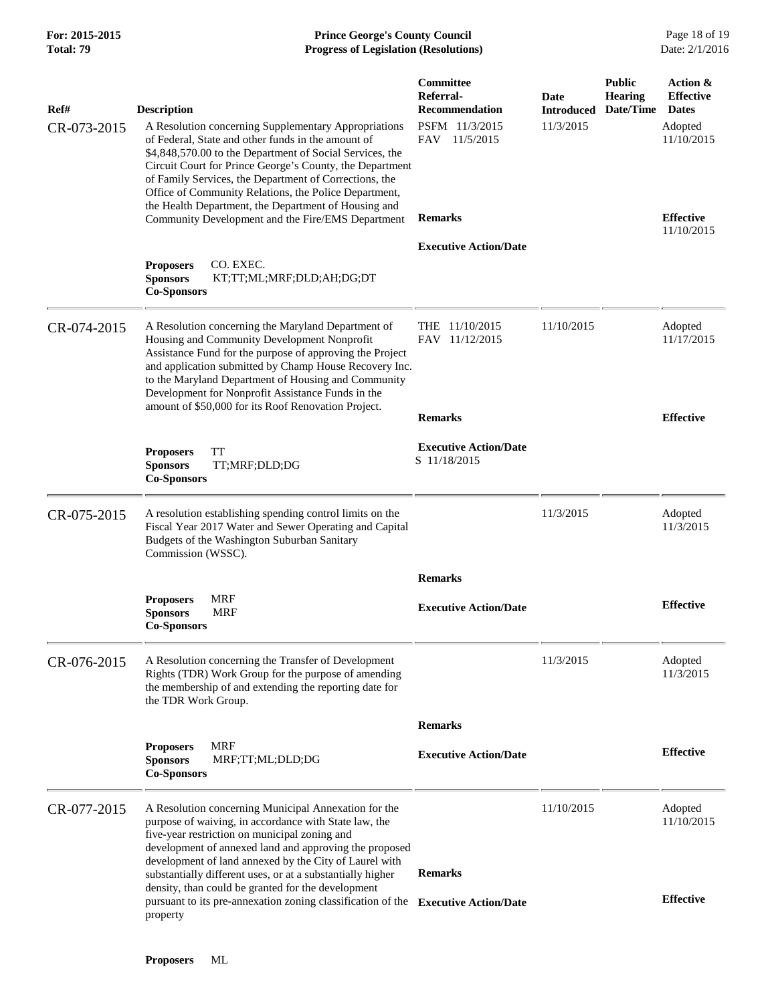#### **For: 2015-2015 Prince George's County Council** Page 18 of 19<br> **Prince George's County Council** Page 18 of 19<br> **Progress of Legislation (Resolutions)** Date: 2/1/2016 **Total: 79 Progress of Legislation (Resolutions)**

| Ref#        | <b>Description</b>                                                                                                                                                                                                                                                                                                                                                                                            | Committee<br>Referral-<br><b>Recommendation</b> | Date<br><b>Introduced</b> | <b>Public</b><br><b>Hearing</b><br>Date/Time | Action &<br><b>Effective</b><br><b>Dates</b> |
|-------------|---------------------------------------------------------------------------------------------------------------------------------------------------------------------------------------------------------------------------------------------------------------------------------------------------------------------------------------------------------------------------------------------------------------|-------------------------------------------------|---------------------------|----------------------------------------------|----------------------------------------------|
| CR-073-2015 | A Resolution concerning Supplementary Appropriations<br>of Federal, State and other funds in the amount of<br>\$4,848,570.00 to the Department of Social Services, the<br>Circuit Court for Prince George's County, the Department<br>of Family Services, the Department of Corrections, the<br>Office of Community Relations, the Police Department,<br>the Health Department, the Department of Housing and | PSFM 11/3/2015<br>FAV 11/5/2015                 | 11/3/2015                 |                                              | Adopted<br>11/10/2015                        |
|             | Community Development and the Fire/EMS Department                                                                                                                                                                                                                                                                                                                                                             | <b>Remarks</b>                                  |                           |                                              | <b>Effective</b><br>11/10/2015               |
|             | CO. EXEC.<br><b>Proposers</b><br><b>Sponsors</b><br>KT;TT;ML;MRF;DLD;AH;DG;DT<br><b>Co-Sponsors</b>                                                                                                                                                                                                                                                                                                           | <b>Executive Action/Date</b>                    |                           |                                              |                                              |
| CR-074-2015 | A Resolution concerning the Maryland Department of<br>Housing and Community Development Nonprofit<br>Assistance Fund for the purpose of approving the Project<br>and application submitted by Champ House Recovery Inc.<br>to the Maryland Department of Housing and Community<br>Development for Nonprofit Assistance Funds in the<br>amount of \$50,000 for its Roof Renovation Project.                    | THE 11/10/2015<br>FAV 11/12/2015                | 11/10/2015                |                                              | Adopted<br>11/17/2015                        |
|             |                                                                                                                                                                                                                                                                                                                                                                                                               | <b>Remarks</b>                                  |                           |                                              | <b>Effective</b>                             |
|             | <b>TT</b><br><b>Proposers</b><br><b>Sponsors</b><br>TT;MRF;DLD;DG<br><b>Co-Sponsors</b>                                                                                                                                                                                                                                                                                                                       | <b>Executive Action/Date</b><br>S 11/18/2015    |                           |                                              |                                              |
| CR-075-2015 | A resolution establishing spending control limits on the<br>Fiscal Year 2017 Water and Sewer Operating and Capital<br>Budgets of the Washington Suburban Sanitary<br>Commission (WSSC).                                                                                                                                                                                                                       |                                                 | 11/3/2015                 |                                              | Adopted<br>11/3/2015                         |
|             |                                                                                                                                                                                                                                                                                                                                                                                                               | <b>Remarks</b>                                  |                           |                                              |                                              |
|             | <b>MRF</b><br><b>Proposers</b><br><b>Sponsors</b><br>MRF<br><b>Co-Sponsors</b>                                                                                                                                                                                                                                                                                                                                | <b>Executive Action/Date</b>                    |                           |                                              | <b>Effective</b>                             |
| CR-076-2015 | A Resolution concerning the Transfer of Development<br>Rights (TDR) Work Group for the purpose of amending<br>the membership of and extending the reporting date for<br>the TDR Work Group.                                                                                                                                                                                                                   |                                                 | 11/3/2015                 |                                              | Adopted<br>11/3/2015                         |
|             |                                                                                                                                                                                                                                                                                                                                                                                                               | <b>Remarks</b>                                  |                           |                                              |                                              |
|             | <b>MRF</b><br><b>Proposers</b><br><b>Sponsors</b><br>MRF;TT;ML;DLD;DG<br><b>Co-Sponsors</b>                                                                                                                                                                                                                                                                                                                   | <b>Executive Action/Date</b>                    |                           |                                              | <b>Effective</b>                             |
| CR-077-2015 | A Resolution concerning Municipal Annexation for the<br>purpose of waiving, in accordance with State law, the<br>five-year restriction on municipal zoning and<br>development of annexed land and approving the proposed<br>development of land annexed by the City of Laurel with                                                                                                                            |                                                 | 11/10/2015                |                                              | Adopted<br>11/10/2015                        |
|             | substantially different uses, or at a substantially higher                                                                                                                                                                                                                                                                                                                                                    | <b>Remarks</b>                                  |                           |                                              |                                              |
|             | density, than could be granted for the development<br>pursuant to its pre-annexation zoning classification of the Executive Action/Date<br>property                                                                                                                                                                                                                                                           |                                                 |                           |                                              | <b>Effective</b>                             |